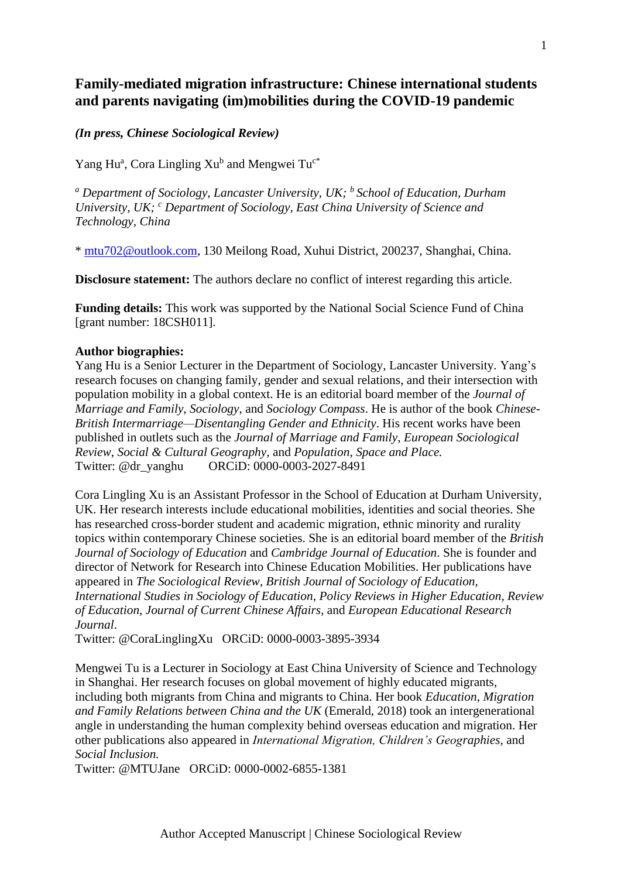### **Family-mediated migration infrastructure: Chinese international students and parents navigating (im)mobilities during the COVID-19 pandemic**

*(In press, Chinese Sociological Review)*

Yang Hu<sup>a</sup>, Cora Lingling Xu<sup>b</sup> and Mengwei Tu<sup>c\*</sup>

*<sup>a</sup> Department of Sociology, Lancaster University, UK; <sup>b</sup>School of Education, Durham University, UK; <sup>c</sup> Department of Sociology, East China University of Science and Technology, China*

\* [mtu702@outlook.com,](mailto:mtu702@outlook.com) 130 Meilong Road, Xuhui District, 200237, Shanghai, China.

**Disclosure statement:** The authors declare no conflict of interest regarding this article.

**Funding details:** This work was supported by the National Social Science Fund of China [grant number: 18CSH011].

#### **Author biographies:**

Yang Hu is a Senior Lecturer in the Department of Sociology, Lancaster University. Yang's research focuses on changing family, gender and sexual relations, and their intersection with population mobility in a global context. He is an editorial board member of the *Journal of Marriage and Family*, *Sociology*, and *Sociology Compass*. He is author of the book *Chinese-British Intermarriage—Disentangling Gender and Ethnicity*. His recent works have been published in outlets such as the *Journal of Marriage and Family*, *European Sociological Review*, *Social & Cultural Geography,* and *Population, Space and Place.*  Twitter: @dr\_yanghu ORCiD: [0000-0003-2027-8491](http://orcid.org/0000-0003-2027-8491)

Cora Lingling Xu is an Assistant Professor in the School of Education at Durham University, UK. Her research interests include educational mobilities, identities and social theories. She has researched cross-border student and academic migration, ethnic minority and rurality topics within contemporary Chinese societies. She is an editorial board member of the *British Journal of Sociology of Education* and *Cambridge Journal of Education*. She is founder and director of Network for Research into Chinese Education Mobilities. Her publications have appeared in *The Sociological Review, British Journal of Sociology of Education, International Studies in Sociology of Education, Policy Reviews in Higher Education, Review of Education, Journal of Current Chinese Affairs,* and *European Educational Research Journal*.

Twitter: @CoraLinglingXu ORCiD: [0000-0003-3895-3934](http://orcid.org/0000-0003-3895-3934)

Mengwei Tu is a Lecturer in Sociology at East China University of Science and Technology in Shanghai. Her research focuses on global movement of highly educated migrants, including both migrants from China and migrants to China. Her book *Education, Migration and Family Relations between China and the UK* (Emerald, 2018) took an intergenerational angle in understanding the human complexity behind overseas education and migration. Her other publications also appeared in *International Migration, Children's Geographies,* and *Social Inclusion.*

Twitter: @MTUJane ORCiD: [0000-0002-6855-1381](http://orcid.org/0000-0002-6855-1381)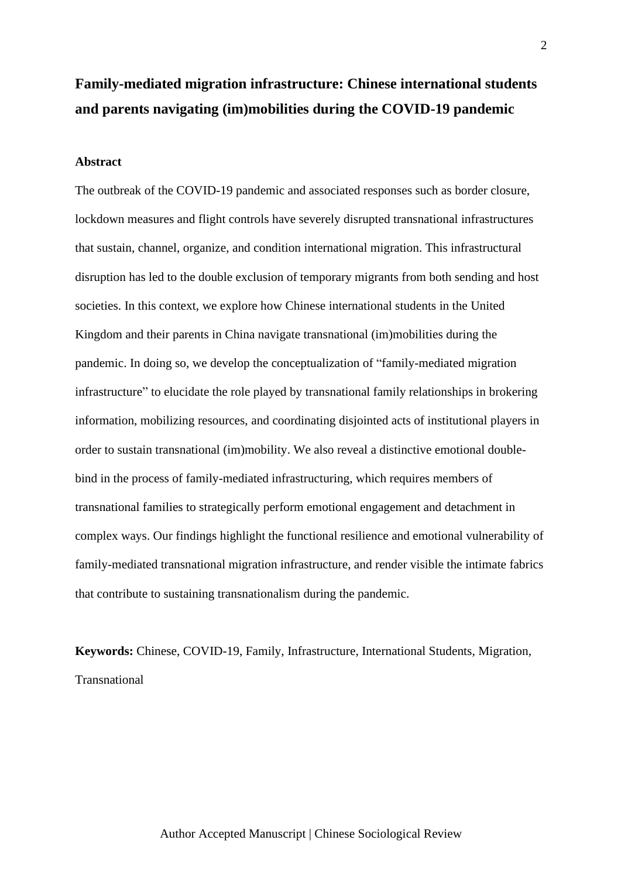## **Family-mediated migration infrastructure: Chinese international students and parents navigating (im)mobilities during the COVID-19 pandemic**

#### **Abstract**

The outbreak of the COVID-19 pandemic and associated responses such as border closure, lockdown measures and flight controls have severely disrupted transnational infrastructures that sustain, channel, organize, and condition international migration. This infrastructural disruption has led to the double exclusion of temporary migrants from both sending and host societies. In this context, we explore how Chinese international students in the United Kingdom and their parents in China navigate transnational (im)mobilities during the pandemic. In doing so, we develop the conceptualization of "family-mediated migration infrastructure" to elucidate the role played by transnational family relationships in brokering information, mobilizing resources, and coordinating disjointed acts of institutional players in order to sustain transnational (im)mobility. We also reveal a distinctive emotional doublebind in the process of family-mediated infrastructuring, which requires members of transnational families to strategically perform emotional engagement and detachment in complex ways. Our findings highlight the functional resilience and emotional vulnerability of family-mediated transnational migration infrastructure, and render visible the intimate fabrics that contribute to sustaining transnationalism during the pandemic.

**Keywords:** Chinese, COVID-19, Family, Infrastructure, International Students, Migration, Transnational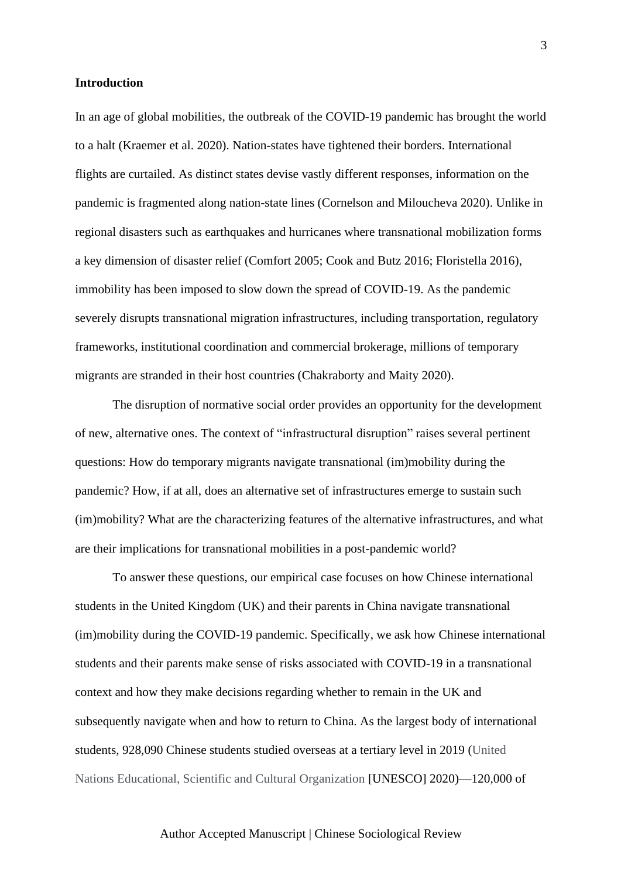#### **Introduction**

In an age of global mobilities, the outbreak of the COVID-19 pandemic has brought the world to a halt (Kraemer et al. 2020). Nation-states have tightened their borders. International flights are curtailed. As distinct states devise vastly different responses, information on the pandemic is fragmented along nation-state lines (Cornelson and Miloucheva 2020). Unlike in regional disasters such as earthquakes and hurricanes where transnational mobilization forms a key dimension of disaster relief (Comfort 2005; Cook and Butz 2016; Floristella 2016), immobility has been imposed to slow down the spread of COVID-19. As the pandemic severely disrupts transnational migration infrastructures, including transportation, regulatory frameworks, institutional coordination and commercial brokerage, millions of temporary migrants are stranded in their host countries (Chakraborty and Maity 2020).

The disruption of normative social order provides an opportunity for the development of new, alternative ones. The context of "infrastructural disruption" raises several pertinent questions: How do temporary migrants navigate transnational (im)mobility during the pandemic? How, if at all, does an alternative set of infrastructures emerge to sustain such (im)mobility? What are the characterizing features of the alternative infrastructures, and what are their implications for transnational mobilities in a post-pandemic world?

To answer these questions, our empirical case focuses on how Chinese international students in the United Kingdom (UK) and their parents in China navigate transnational (im)mobility during the COVID-19 pandemic. Specifically, we ask how Chinese international students and their parents make sense of risks associated with COVID-19 in a transnational context and how they make decisions regarding whether to remain in the UK and subsequently navigate when and how to return to China. As the largest body of international students, 928,090 Chinese students studied overseas at a tertiary level in 2019 (United Nations Educational, Scientific and Cultural Organization [UNESCO] 2020)—120,000 of

#### Author Accepted Manuscript | Chinese Sociological Review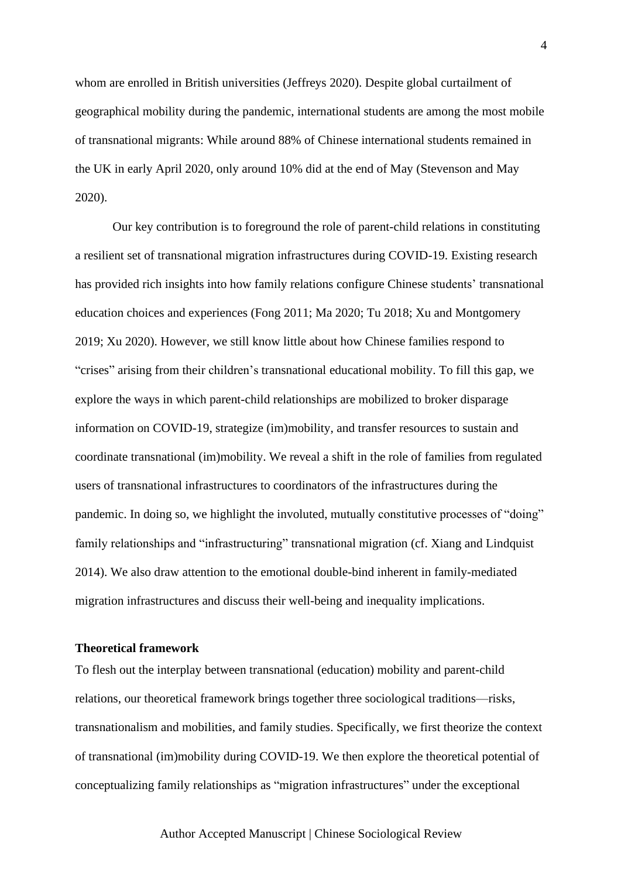whom are enrolled in British universities (Jeffreys 2020). Despite global curtailment of geographical mobility during the pandemic, international students are among the most mobile of transnational migrants: While around 88% of Chinese international students remained in the UK in early April 2020, only around 10% did at the end of May (Stevenson and May 2020).

Our key contribution is to foreground the role of parent-child relations in constituting a resilient set of transnational migration infrastructures during COVID-19. Existing research has provided rich insights into how family relations configure Chinese students' transnational education choices and experiences (Fong 2011; Ma 2020; Tu 2018; Xu and Montgomery 2019; Xu 2020). However, we still know little about how Chinese families respond to "crises" arising from their children's transnational educational mobility. To fill this gap, we explore the ways in which parent-child relationships are mobilized to broker disparage information on COVID-19, strategize (im)mobility, and transfer resources to sustain and coordinate transnational (im)mobility. We reveal a shift in the role of families from regulated users of transnational infrastructures to coordinators of the infrastructures during the pandemic. In doing so, we highlight the involuted, mutually constitutive processes of "doing" family relationships and "infrastructuring" transnational migration (cf. Xiang and Lindquist 2014). We also draw attention to the emotional double-bind inherent in family-mediated migration infrastructures and discuss their well-being and inequality implications.

#### **Theoretical framework**

To flesh out the interplay between transnational (education) mobility and parent-child relations, our theoretical framework brings together three sociological traditions—risks, transnationalism and mobilities, and family studies. Specifically, we first theorize the context of transnational (im)mobility during COVID-19. We then explore the theoretical potential of conceptualizing family relationships as "migration infrastructures" under the exceptional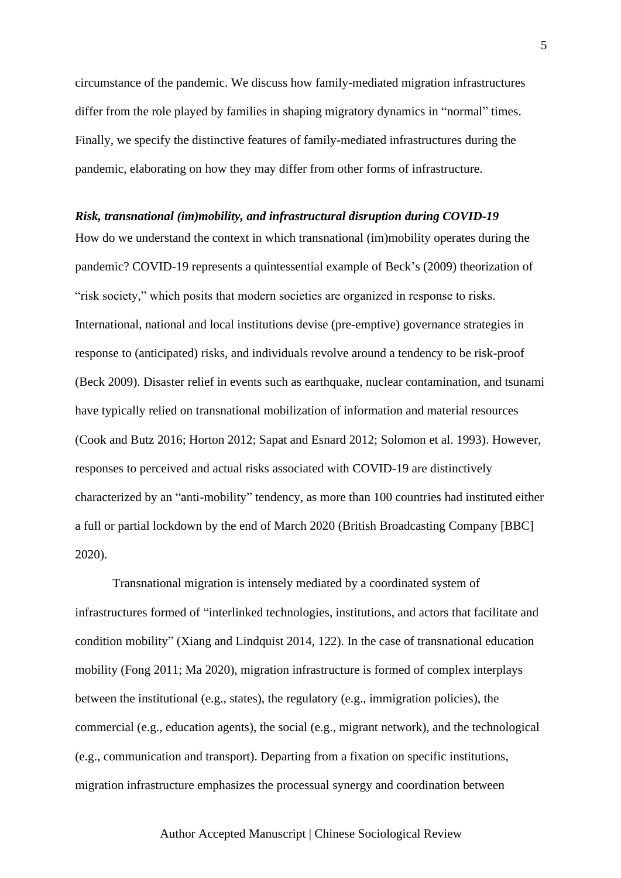circumstance of the pandemic. We discuss how family-mediated migration infrastructures differ from the role played by families in shaping migratory dynamics in "normal" times. Finally, we specify the distinctive features of family-mediated infrastructures during the pandemic, elaborating on how they may differ from other forms of infrastructure.

#### *Risk, transnational (im)mobility, and infrastructural disruption during COVID-19*

How do we understand the context in which transnational (im)mobility operates during the pandemic? COVID-19 represents a quintessential example of Beck's (2009) theorization of "risk society," which posits that modern societies are organized in response to risks. International, national and local institutions devise (pre-emptive) governance strategies in response to (anticipated) risks, and individuals revolve around a tendency to be risk-proof (Beck 2009). Disaster relief in events such as earthquake, nuclear contamination, and tsunami have typically relied on transnational mobilization of information and material resources (Cook and Butz 2016; Horton 2012; Sapat and Esnard 2012; Solomon et al. 1993). However, responses to perceived and actual risks associated with COVID-19 are distinctively characterized by an "anti-mobility" tendency, as more than 100 countries had instituted either a full or partial lockdown by the end of March 2020 (British Broadcasting Company [BBC] 2020).

Transnational migration is intensely mediated by a coordinated system of infrastructures formed of "interlinked technologies, institutions, and actors that facilitate and condition mobility" (Xiang and Lindquist 2014, 122). In the case of transnational education mobility (Fong 2011; Ma 2020), migration infrastructure is formed of complex interplays between the institutional (e.g., states), the regulatory (e.g., immigration policies), the commercial (e.g., education agents), the social (e.g., migrant network), and the technological (e.g., communication and transport). Departing from a fixation on specific institutions, migration infrastructure emphasizes the processual synergy and coordination between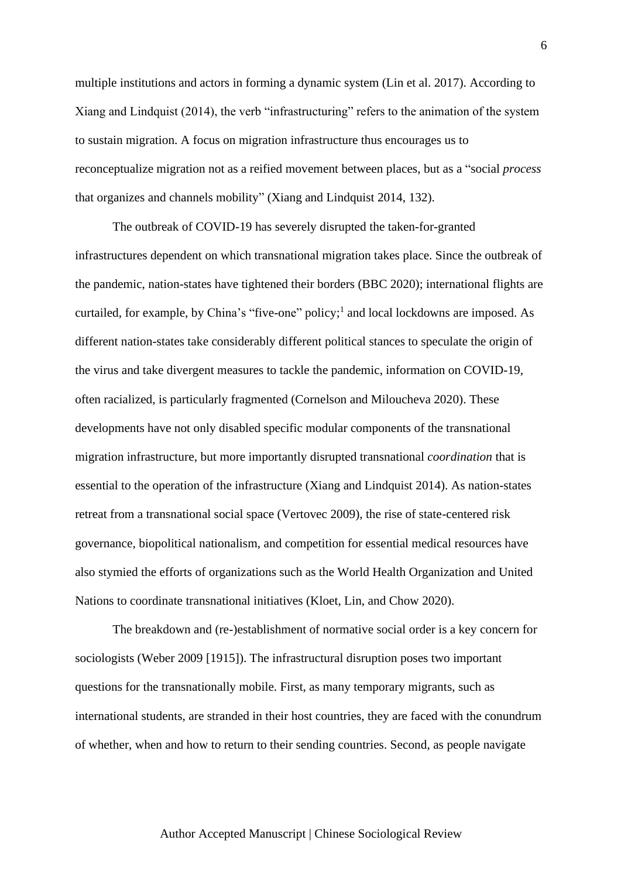multiple institutions and actors in forming a dynamic system (Lin et al. 2017). According to Xiang and Lindquist (2014), the verb "infrastructuring" refers to the animation of the system to sustain migration. A focus on migration infrastructure thus encourages us to reconceptualize migration not as a reified movement between places, but as a "social *process* that organizes and channels mobility" (Xiang and Lindquist 2014, 132).

The outbreak of COVID-19 has severely disrupted the taken-for-granted infrastructures dependent on which transnational migration takes place. Since the outbreak of the pandemic, nation-states have tightened their borders (BBC 2020); international flights are curtailed, for example, by China's "five-one" policy; 1 and local lockdowns are imposed. As different nation-states take considerably different political stances to speculate the origin of the virus and take divergent measures to tackle the pandemic, information on COVID-19, often racialized, is particularly fragmented (Cornelson and Miloucheva 2020). These developments have not only disabled specific modular components of the transnational migration infrastructure, but more importantly disrupted transnational *coordination* that is essential to the operation of the infrastructure (Xiang and Lindquist 2014). As nation-states retreat from a transnational social space (Vertovec 2009), the rise of state-centered risk governance, biopolitical nationalism, and competition for essential medical resources have also stymied the efforts of organizations such as the World Health Organization and United Nations to coordinate transnational initiatives (Kloet, Lin, and Chow 2020).

The breakdown and (re-)establishment of normative social order is a key concern for sociologists (Weber 2009 [1915]). The infrastructural disruption poses two important questions for the transnationally mobile. First, as many temporary migrants, such as international students, are stranded in their host countries, they are faced with the conundrum of whether, when and how to return to their sending countries. Second, as people navigate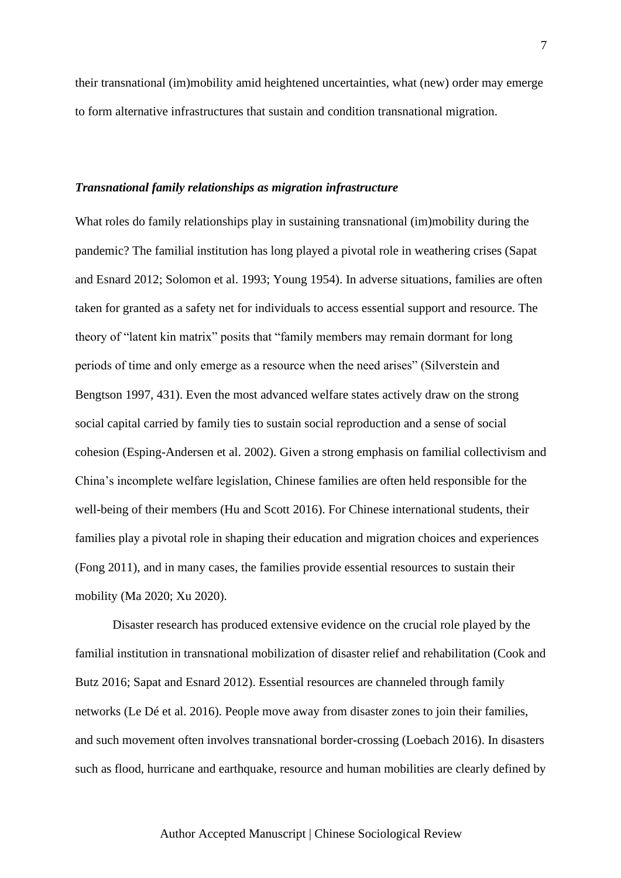their transnational (im)mobility amid heightened uncertainties, what (new) order may emerge to form alternative infrastructures that sustain and condition transnational migration.

#### *Transnational family relationships as migration infrastructure*

What roles do family relationships play in sustaining transnational (im)mobility during the pandemic? The familial institution has long played a pivotal role in weathering crises (Sapat and Esnard 2012; Solomon et al. 1993; Young 1954). In adverse situations, families are often taken for granted as a safety net for individuals to access essential support and resource. The theory of "latent kin matrix" posits that "family members may remain dormant for long periods of time and only emerge as a resource when the need arises" (Silverstein and Bengtson 1997, 431). Even the most advanced welfare states actively draw on the strong social capital carried by family ties to sustain social reproduction and a sense of social cohesion (Esping-Andersen et al. 2002). Given a strong emphasis on familial collectivism and China's incomplete welfare legislation, Chinese families are often held responsible for the well-being of their members (Hu and Scott 2016). For Chinese international students, their families play a pivotal role in shaping their education and migration choices and experiences (Fong 2011), and in many cases, the families provide essential resources to sustain their mobility (Ma 2020; Xu 2020).

Disaster research has produced extensive evidence on the crucial role played by the familial institution in transnational mobilization of disaster relief and rehabilitation (Cook and Butz 2016; Sapat and Esnard 2012). Essential resources are channeled through family networks (Le Dé et al. 2016). People move away from disaster zones to join their families, and such movement often involves transnational border-crossing (Loebach 2016). In disasters such as flood, hurricane and earthquake, resource and human mobilities are clearly defined by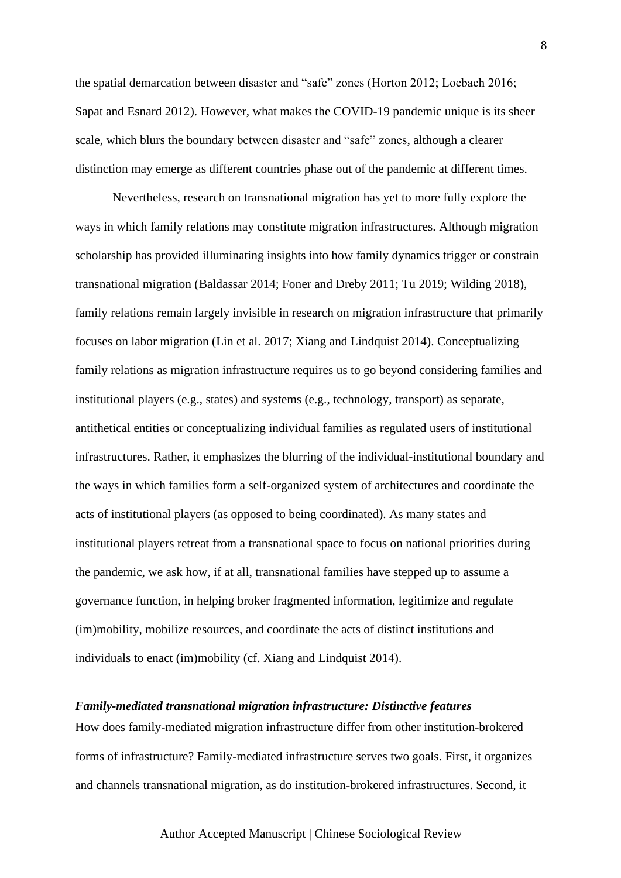the spatial demarcation between disaster and "safe" zones (Horton 2012; Loebach 2016; Sapat and Esnard 2012). However, what makes the COVID-19 pandemic unique is its sheer scale, which blurs the boundary between disaster and "safe" zones, although a clearer distinction may emerge as different countries phase out of the pandemic at different times.

Nevertheless, research on transnational migration has yet to more fully explore the ways in which family relations may constitute migration infrastructures. Although migration scholarship has provided illuminating insights into how family dynamics trigger or constrain transnational migration (Baldassar 2014; Foner and Dreby 2011; Tu 2019; Wilding 2018), family relations remain largely invisible in research on migration infrastructure that primarily focuses on labor migration (Lin et al. 2017; Xiang and Lindquist 2014). Conceptualizing family relations as migration infrastructure requires us to go beyond considering families and institutional players (e.g., states) and systems (e.g., technology, transport) as separate, antithetical entities or conceptualizing individual families as regulated users of institutional infrastructures. Rather, it emphasizes the blurring of the individual-institutional boundary and the ways in which families form a self-organized system of architectures and coordinate the acts of institutional players (as opposed to being coordinated). As many states and institutional players retreat from a transnational space to focus on national priorities during the pandemic, we ask how, if at all, transnational families have stepped up to assume a governance function, in helping broker fragmented information, legitimize and regulate (im)mobility, mobilize resources, and coordinate the acts of distinct institutions and individuals to enact (im)mobility (cf. Xiang and Lindquist 2014).

#### *Family-mediated transnational migration infrastructure: Distinctive features*

How does family-mediated migration infrastructure differ from other institution-brokered forms of infrastructure? Family-mediated infrastructure serves two goals. First, it organizes and channels transnational migration, as do institution-brokered infrastructures. Second, it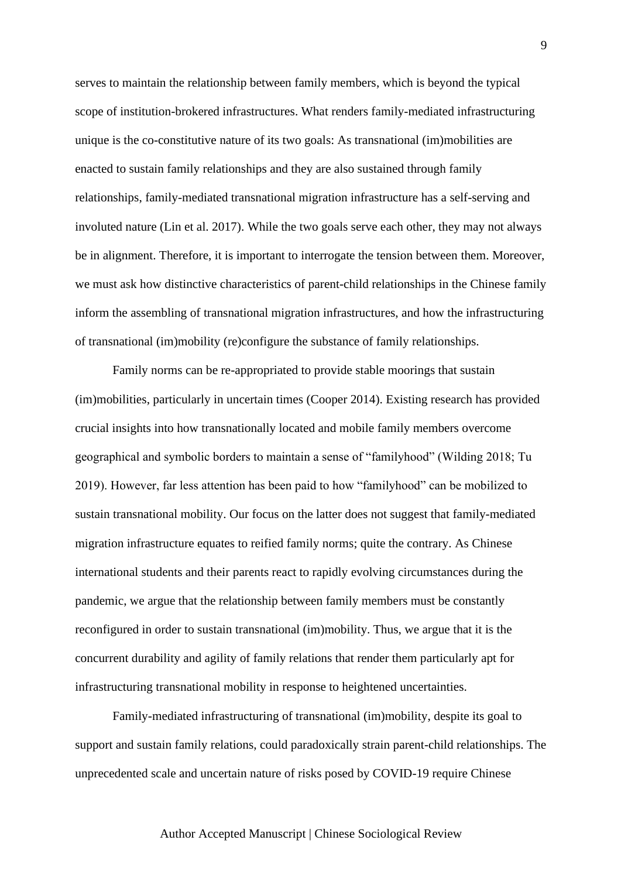serves to maintain the relationship between family members, which is beyond the typical scope of institution-brokered infrastructures. What renders family-mediated infrastructuring unique is the co-constitutive nature of its two goals: As transnational (im)mobilities are enacted to sustain family relationships and they are also sustained through family relationships, family-mediated transnational migration infrastructure has a self-serving and involuted nature (Lin et al. 2017). While the two goals serve each other, they may not always be in alignment. Therefore, it is important to interrogate the tension between them. Moreover, we must ask how distinctive characteristics of parent-child relationships in the Chinese family inform the assembling of transnational migration infrastructures, and how the infrastructuring of transnational (im)mobility (re)configure the substance of family relationships.

Family norms can be re-appropriated to provide stable moorings that sustain (im)mobilities, particularly in uncertain times (Cooper 2014). Existing research has provided crucial insights into how transnationally located and mobile family members overcome geographical and symbolic borders to maintain a sense of "familyhood" (Wilding 2018; Tu 2019). However, far less attention has been paid to how "familyhood" can be mobilized to sustain transnational mobility. Our focus on the latter does not suggest that family-mediated migration infrastructure equates to reified family norms; quite the contrary. As Chinese international students and their parents react to rapidly evolving circumstances during the pandemic, we argue that the relationship between family members must be constantly reconfigured in order to sustain transnational (im)mobility. Thus, we argue that it is the concurrent durability and agility of family relations that render them particularly apt for infrastructuring transnational mobility in response to heightened uncertainties.

Family-mediated infrastructuring of transnational (im)mobility, despite its goal to support and sustain family relations, could paradoxically strain parent-child relationships. The unprecedented scale and uncertain nature of risks posed by COVID-19 require Chinese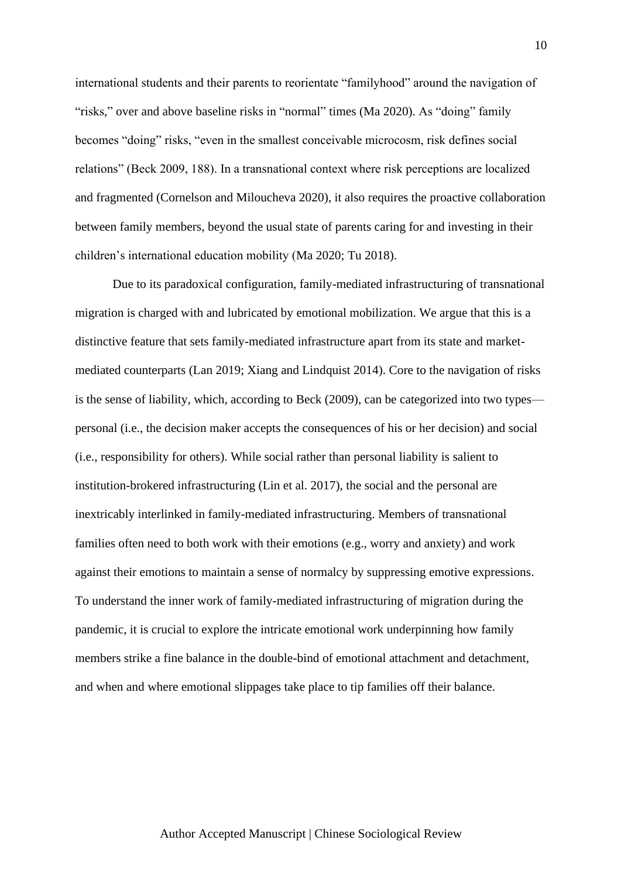international students and their parents to reorientate "familyhood" around the navigation of "risks," over and above baseline risks in "normal" times (Ma 2020). As "doing" family becomes "doing" risks, "even in the smallest conceivable microcosm, risk defines social relations" (Beck 2009, 188). In a transnational context where risk perceptions are localized and fragmented (Cornelson and Miloucheva 2020), it also requires the proactive collaboration between family members, beyond the usual state of parents caring for and investing in their children's international education mobility (Ma 2020; Tu 2018).

Due to its paradoxical configuration, family-mediated infrastructuring of transnational migration is charged with and lubricated by emotional mobilization. We argue that this is a distinctive feature that sets family-mediated infrastructure apart from its state and marketmediated counterparts (Lan 2019; Xiang and Lindquist 2014). Core to the navigation of risks is the sense of liability, which, according to Beck (2009), can be categorized into two types personal (i.e., the decision maker accepts the consequences of his or her decision) and social (i.e., responsibility for others). While social rather than personal liability is salient to institution-brokered infrastructuring (Lin et al. 2017), the social and the personal are inextricably interlinked in family-mediated infrastructuring. Members of transnational families often need to both work with their emotions (e.g., worry and anxiety) and work against their emotions to maintain a sense of normalcy by suppressing emotive expressions. To understand the inner work of family-mediated infrastructuring of migration during the pandemic, it is crucial to explore the intricate emotional work underpinning how family members strike a fine balance in the double-bind of emotional attachment and detachment, and when and where emotional slippages take place to tip families off their balance.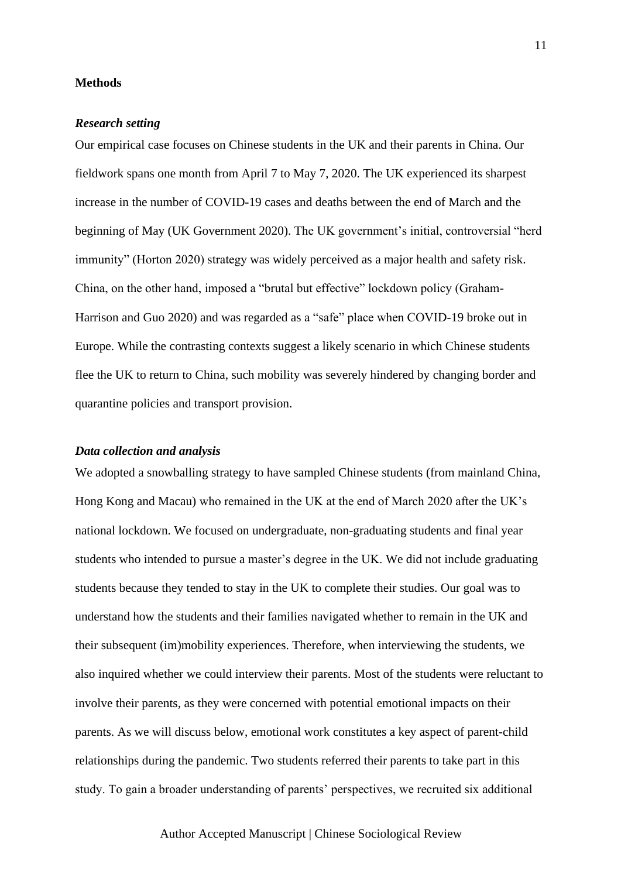#### **Methods**

#### *Research setting*

Our empirical case focuses on Chinese students in the UK and their parents in China. Our fieldwork spans one month from April 7 to May 7, 2020. The UK experienced its sharpest increase in the number of COVID-19 cases and deaths between the end of March and the beginning of May (UK Government 2020). The UK government's initial, controversial "herd immunity" (Horton 2020) strategy was widely perceived as a major health and safety risk. China, on the other hand, imposed a "brutal but effective" lockdown policy (Graham-Harrison and Guo 2020) and was regarded as a "safe" place when COVID-19 broke out in Europe. While the contrasting contexts suggest a likely scenario in which Chinese students flee the UK to return to China, such mobility was severely hindered by changing border and quarantine policies and transport provision.

#### *Data collection and analysis*

We adopted a snowballing strategy to have sampled Chinese students (from mainland China, Hong Kong and Macau) who remained in the UK at the end of March 2020 after the UK's national lockdown. We focused on undergraduate, non-graduating students and final year students who intended to pursue a master's degree in the UK. We did not include graduating students because they tended to stay in the UK to complete their studies. Our goal was to understand how the students and their families navigated whether to remain in the UK and their subsequent (im)mobility experiences. Therefore, when interviewing the students, we also inquired whether we could interview their parents. Most of the students were reluctant to involve their parents, as they were concerned with potential emotional impacts on their parents. As we will discuss below, emotional work constitutes a key aspect of parent-child relationships during the pandemic. Two students referred their parents to take part in this study. To gain a broader understanding of parents' perspectives, we recruited six additional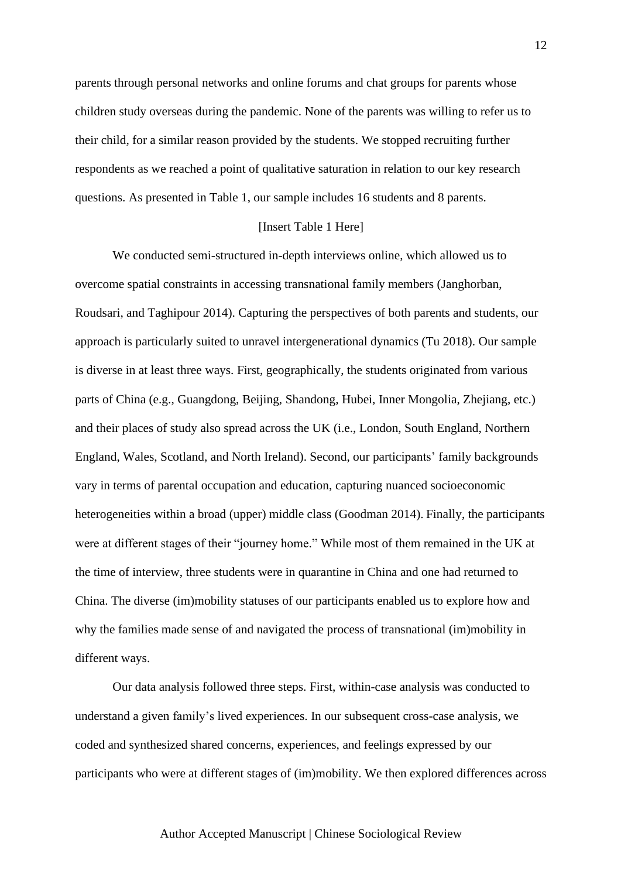parents through personal networks and online forums and chat groups for parents whose children study overseas during the pandemic. None of the parents was willing to refer us to their child, for a similar reason provided by the students. We stopped recruiting further respondents as we reached a point of qualitative saturation in relation to our key research questions. As presented in Table 1, our sample includes 16 students and 8 parents.

#### [Insert Table 1 Here]

We conducted semi-structured in-depth interviews online, which allowed us to overcome spatial constraints in accessing transnational family members (Janghorban, Roudsari, and Taghipour 2014). Capturing the perspectives of both parents and students, our approach is particularly suited to unravel intergenerational dynamics (Tu 2018). Our sample is diverse in at least three ways. First, geographically, the students originated from various parts of China (e.g., Guangdong, Beijing, Shandong, Hubei, Inner Mongolia, Zhejiang, etc.) and their places of study also spread across the UK (i.e., London, South England, Northern England, Wales, Scotland, and North Ireland). Second, our participants' family backgrounds vary in terms of parental occupation and education, capturing nuanced socioeconomic heterogeneities within a broad (upper) middle class (Goodman 2014). Finally, the participants were at different stages of their "journey home." While most of them remained in the UK at the time of interview, three students were in quarantine in China and one had returned to China. The diverse (im)mobility statuses of our participants enabled us to explore how and why the families made sense of and navigated the process of transnational (im)mobility in different ways.

Our data analysis followed three steps. First, within-case analysis was conducted to understand a given family's lived experiences. In our subsequent cross-case analysis, we coded and synthesized shared concerns, experiences, and feelings expressed by our participants who were at different stages of (im)mobility. We then explored differences across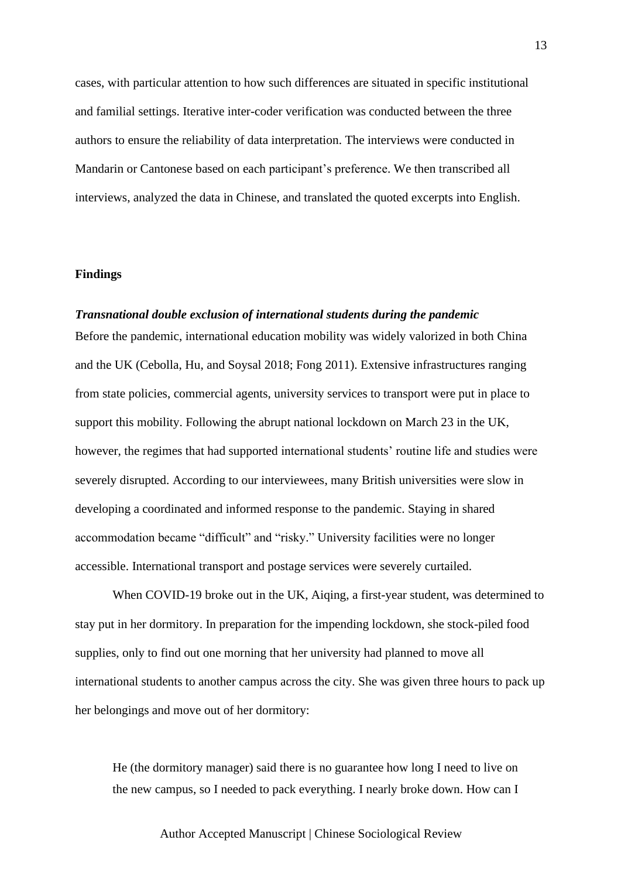cases, with particular attention to how such differences are situated in specific institutional and familial settings. Iterative inter-coder verification was conducted between the three authors to ensure the reliability of data interpretation. The interviews were conducted in Mandarin or Cantonese based on each participant's preference. We then transcribed all interviews, analyzed the data in Chinese, and translated the quoted excerpts into English.

#### **Findings**

#### *Transnational double exclusion of international students during the pandemic*

Before the pandemic, international education mobility was widely valorized in both China and the UK (Cebolla, Hu, and Soysal 2018; Fong 2011). Extensive infrastructures ranging from state policies, commercial agents, university services to transport were put in place to support this mobility. Following the abrupt national lockdown on March 23 in the UK, however, the regimes that had supported international students' routine life and studies were severely disrupted. According to our interviewees, many British universities were slow in developing a coordinated and informed response to the pandemic. Staying in shared accommodation became "difficult" and "risky." University facilities were no longer accessible. International transport and postage services were severely curtailed.

When COVID-19 broke out in the UK, Aiqing, a first-year student, was determined to stay put in her dormitory. In preparation for the impending lockdown, she stock-piled food supplies, only to find out one morning that her university had planned to move all international students to another campus across the city. She was given three hours to pack up her belongings and move out of her dormitory:

He (the dormitory manager) said there is no guarantee how long I need to live on the new campus, so I needed to pack everything. I nearly broke down. How can I

Author Accepted Manuscript | Chinese Sociological Review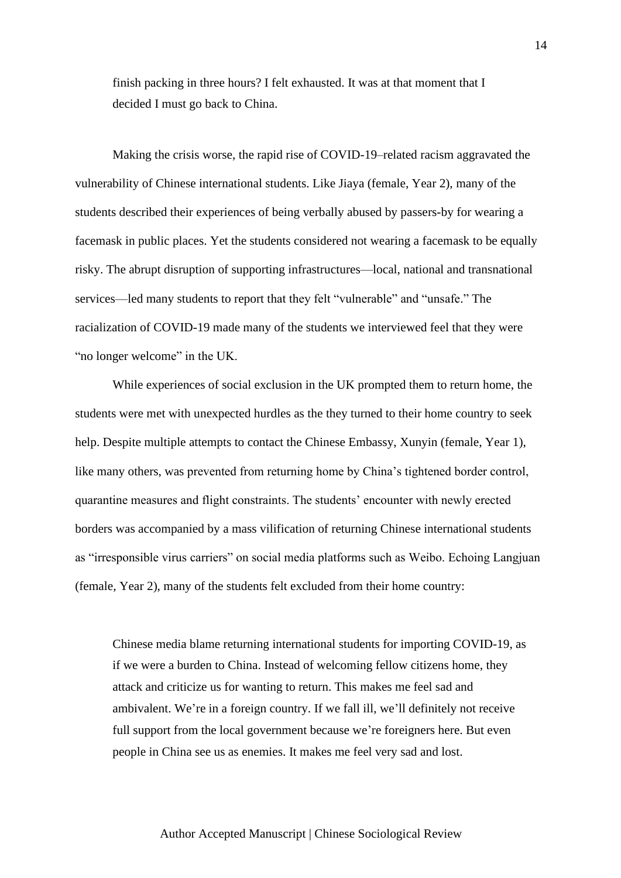finish packing in three hours? I felt exhausted. It was at that moment that I decided I must go back to China.

Making the crisis worse, the rapid rise of COVID-19–related racism aggravated the vulnerability of Chinese international students. Like Jiaya (female, Year 2), many of the students described their experiences of being verbally abused by passers-by for wearing a facemask in public places. Yet the students considered not wearing a facemask to be equally risky. The abrupt disruption of supporting infrastructures—local, national and transnational services—led many students to report that they felt "vulnerable" and "unsafe." The racialization of COVID-19 made many of the students we interviewed feel that they were "no longer welcome" in the UK.

While experiences of social exclusion in the UK prompted them to return home, the students were met with unexpected hurdles as the they turned to their home country to seek help. Despite multiple attempts to contact the Chinese Embassy, Xunyin (female, Year 1), like many others, was prevented from returning home by China's tightened border control, quarantine measures and flight constraints. The students' encounter with newly erected borders was accompanied by a mass vilification of returning Chinese international students as "irresponsible virus carriers" on social media platforms such as Weibo. Echoing Langjuan (female, Year 2), many of the students felt excluded from their home country:

Chinese media blame returning international students for importing COVID-19, as if we were a burden to China. Instead of welcoming fellow citizens home, they attack and criticize us for wanting to return. This makes me feel sad and ambivalent. We're in a foreign country. If we fall ill, we'll definitely not receive full support from the local government because we're foreigners here. But even people in China see us as enemies. It makes me feel very sad and lost.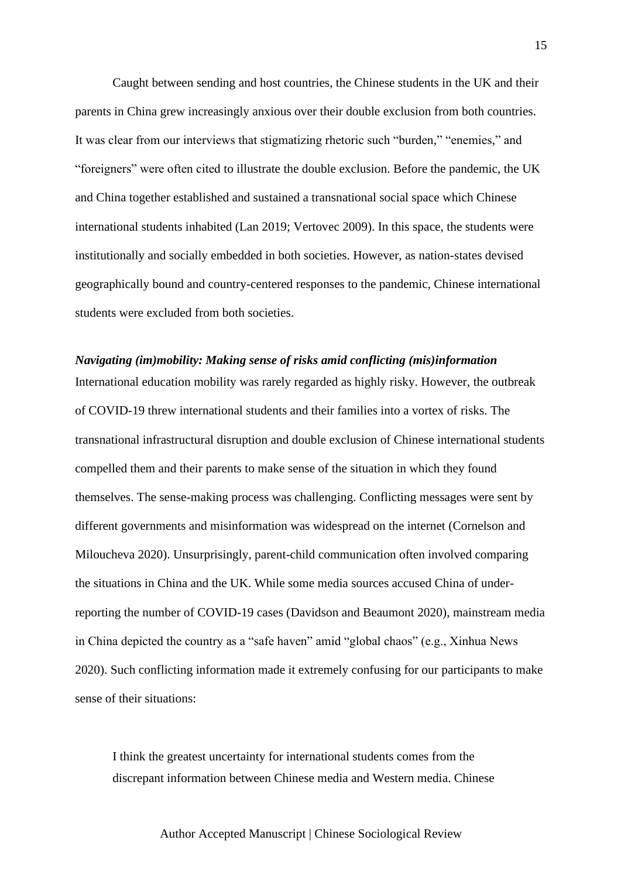Caught between sending and host countries, the Chinese students in the UK and their parents in China grew increasingly anxious over their double exclusion from both countries. It was clear from our interviews that stigmatizing rhetoric such "burden," "enemies," and "foreigners" were often cited to illustrate the double exclusion. Before the pandemic, the UK and China together established and sustained a transnational social space which Chinese international students inhabited (Lan 2019; Vertovec 2009). In this space, the students were institutionally and socially embedded in both societies. However, as nation-states devised geographically bound and country-centered responses to the pandemic, Chinese international students were excluded from both societies.

#### *Navigating (im)mobility: Making sense of risks amid conflicting (mis)information*

International education mobility was rarely regarded as highly risky. However, the outbreak of COVID-19 threw international students and their families into a vortex of risks. The transnational infrastructural disruption and double exclusion of Chinese international students compelled them and their parents to make sense of the situation in which they found themselves. The sense-making process was challenging. Conflicting messages were sent by different governments and misinformation was widespread on the internet (Cornelson and Miloucheva 2020). Unsurprisingly, parent-child communication often involved comparing the situations in China and the UK. While some media sources accused China of underreporting the number of COVID-19 cases (Davidson and Beaumont 2020), mainstream media in China depicted the country as a "safe haven" amid "global chaos" (e.g., Xinhua News 2020). Such conflicting information made it extremely confusing for our participants to make sense of their situations:

I think the greatest uncertainty for international students comes from the discrepant information between Chinese media and Western media. Chinese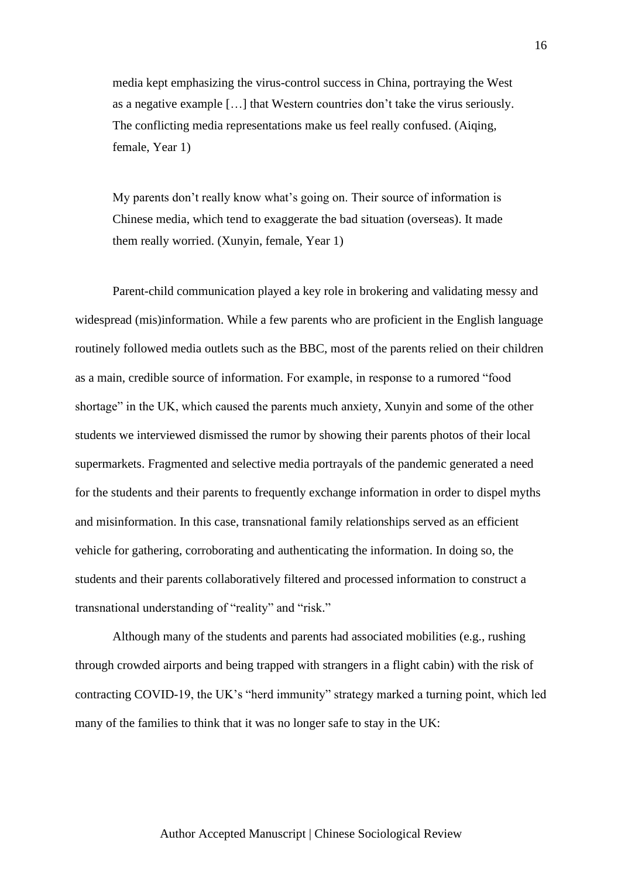media kept emphasizing the virus-control success in China, portraying the West as a negative example […] that Western countries don't take the virus seriously. The conflicting media representations make us feel really confused. (Aiqing, female, Year 1)

My parents don't really know what's going on. Their source of information is Chinese media, which tend to exaggerate the bad situation (overseas). It made them really worried. (Xunyin, female, Year 1)

Parent-child communication played a key role in brokering and validating messy and widespread (mis)information. While a few parents who are proficient in the English language routinely followed media outlets such as the BBC, most of the parents relied on their children as a main, credible source of information. For example, in response to a rumored "food shortage" in the UK, which caused the parents much anxiety, Xunyin and some of the other students we interviewed dismissed the rumor by showing their parents photos of their local supermarkets. Fragmented and selective media portrayals of the pandemic generated a need for the students and their parents to frequently exchange information in order to dispel myths and misinformation. In this case, transnational family relationships served as an efficient vehicle for gathering, corroborating and authenticating the information. In doing so, the students and their parents collaboratively filtered and processed information to construct a transnational understanding of "reality" and "risk."

Although many of the students and parents had associated mobilities (e.g., rushing through crowded airports and being trapped with strangers in a flight cabin) with the risk of contracting COVID-19, the UK's "herd immunity" strategy marked a turning point, which led many of the families to think that it was no longer safe to stay in the UK: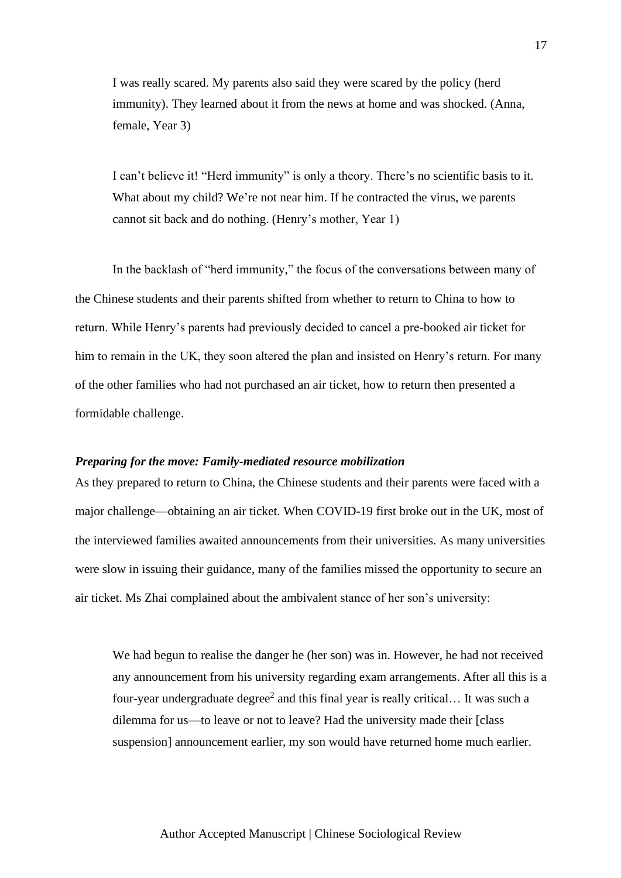I was really scared. My parents also said they were scared by the policy (herd immunity). They learned about it from the news at home and was shocked. (Anna, female, Year 3)

I can't believe it! "Herd immunity" is only a theory. There's no scientific basis to it. What about my child? We're not near him. If he contracted the virus, we parents cannot sit back and do nothing. (Henry's mother, Year 1)

In the backlash of "herd immunity," the focus of the conversations between many of the Chinese students and their parents shifted from whether to return to China to how to return. While Henry's parents had previously decided to cancel a pre-booked air ticket for him to remain in the UK, they soon altered the plan and insisted on Henry's return. For many of the other families who had not purchased an air ticket, how to return then presented a formidable challenge.

#### *Preparing for the move: Family-mediated resource mobilization*

As they prepared to return to China, the Chinese students and their parents were faced with a major challenge—obtaining an air ticket. When COVID-19 first broke out in the UK, most of the interviewed families awaited announcements from their universities. As many universities were slow in issuing their guidance, many of the families missed the opportunity to secure an air ticket. Ms Zhai complained about the ambivalent stance of her son's university:

We had begun to realise the danger he (her son) was in. However, he had not received any announcement from his university regarding exam arrangements. After all this is a four-year undergraduate degree<sup>2</sup> and this final year is really critical... It was such a dilemma for us—to leave or not to leave? Had the university made their [class suspension] announcement earlier, my son would have returned home much earlier.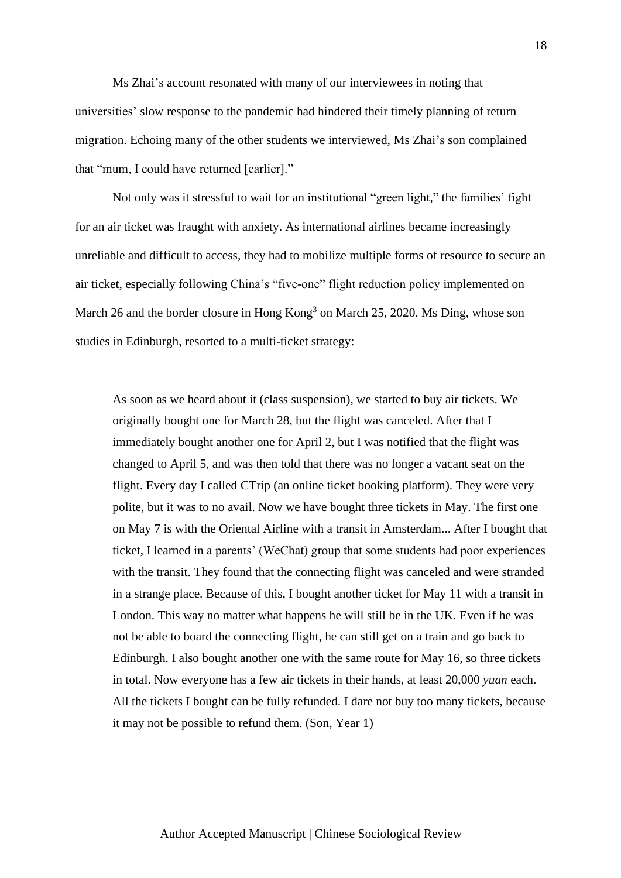Ms Zhai's account resonated with many of our interviewees in noting that universities' slow response to the pandemic had hindered their timely planning of return migration. Echoing many of the other students we interviewed, Ms Zhai's son complained that "mum, I could have returned [earlier]."

Not only was it stressful to wait for an institutional "green light," the families' fight for an air ticket was fraught with anxiety. As international airlines became increasingly unreliable and difficult to access, they had to mobilize multiple forms of resource to secure an air ticket, especially following China's "five-one" flight reduction policy implemented on March 26 and the border closure in Hong Kong<sup>3</sup> on March 25, 2020. Ms Ding, whose son studies in Edinburgh, resorted to a multi-ticket strategy:

As soon as we heard about it (class suspension), we started to buy air tickets. We originally bought one for March 28, but the flight was canceled. After that I immediately bought another one for April 2, but I was notified that the flight was changed to April 5, and was then told that there was no longer a vacant seat on the flight. Every day I called CTrip (an online ticket booking platform). They were very polite, but it was to no avail. Now we have bought three tickets in May. The first one on May 7 is with the Oriental Airline with a transit in Amsterdam... After I bought that ticket, I learned in a parents' (WeChat) group that some students had poor experiences with the transit. They found that the connecting flight was canceled and were stranded in a strange place. Because of this, I bought another ticket for May 11 with a transit in London. This way no matter what happens he will still be in the UK. Even if he was not be able to board the connecting flight, he can still get on a train and go back to Edinburgh. I also bought another one with the same route for May 16, so three tickets in total. Now everyone has a few air tickets in their hands, at least 20,000 *yuan* each. All the tickets I bought can be fully refunded. I dare not buy too many tickets, because it may not be possible to refund them. (Son, Year 1)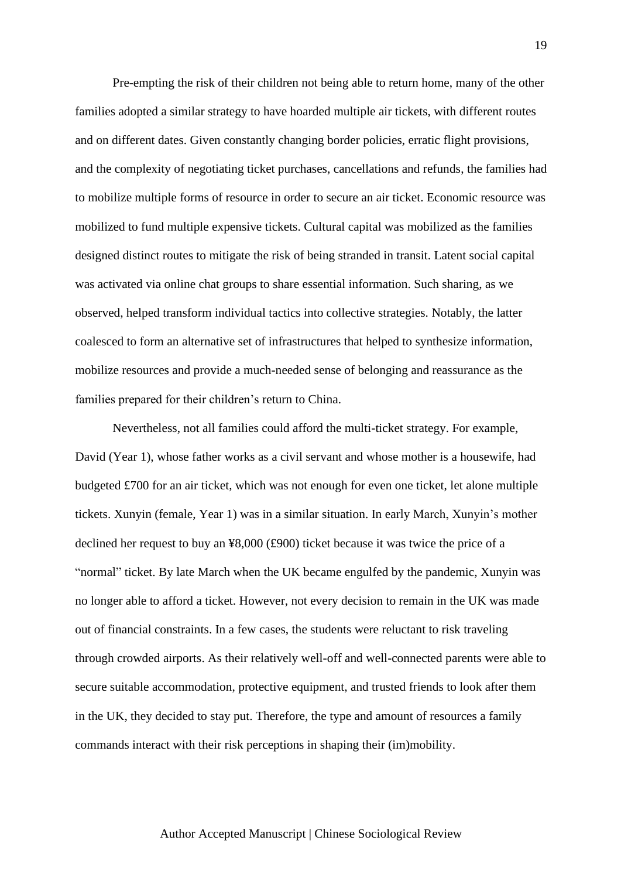Pre-empting the risk of their children not being able to return home, many of the other families adopted a similar strategy to have hoarded multiple air tickets, with different routes and on different dates. Given constantly changing border policies, erratic flight provisions, and the complexity of negotiating ticket purchases, cancellations and refunds, the families had to mobilize multiple forms of resource in order to secure an air ticket. Economic resource was mobilized to fund multiple expensive tickets. Cultural capital was mobilized as the families designed distinct routes to mitigate the risk of being stranded in transit. Latent social capital was activated via online chat groups to share essential information. Such sharing, as we observed, helped transform individual tactics into collective strategies. Notably, the latter coalesced to form an alternative set of infrastructures that helped to synthesize information, mobilize resources and provide a much-needed sense of belonging and reassurance as the families prepared for their children's return to China.

Nevertheless, not all families could afford the multi-ticket strategy. For example, David (Year 1), whose father works as a civil servant and whose mother is a housewife, had budgeted £700 for an air ticket, which was not enough for even one ticket, let alone multiple tickets. Xunyin (female, Year 1) was in a similar situation. In early March, Xunyin's mother declined her request to buy an ¥8,000 (£900) ticket because it was twice the price of a "normal" ticket. By late March when the UK became engulfed by the pandemic, Xunyin was no longer able to afford a ticket. However, not every decision to remain in the UK was made out of financial constraints. In a few cases, the students were reluctant to risk traveling through crowded airports. As their relatively well-off and well-connected parents were able to secure suitable accommodation, protective equipment, and trusted friends to look after them in the UK, they decided to stay put. Therefore, the type and amount of resources a family commands interact with their risk perceptions in shaping their (im)mobility.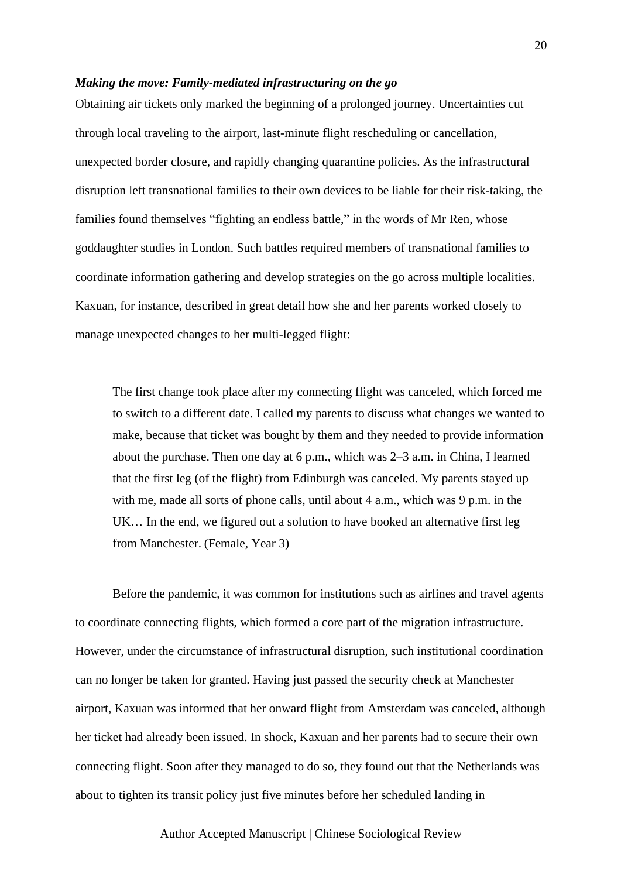#### *Making the move: Family-mediated infrastructuring on the go*

Obtaining air tickets only marked the beginning of a prolonged journey. Uncertainties cut through local traveling to the airport, last-minute flight rescheduling or cancellation, unexpected border closure, and rapidly changing quarantine policies. As the infrastructural disruption left transnational families to their own devices to be liable for their risk-taking, the families found themselves "fighting an endless battle," in the words of Mr Ren, whose goddaughter studies in London. Such battles required members of transnational families to coordinate information gathering and develop strategies on the go across multiple localities. Kaxuan, for instance, described in great detail how she and her parents worked closely to manage unexpected changes to her multi-legged flight:

The first change took place after my connecting flight was canceled, which forced me to switch to a different date. I called my parents to discuss what changes we wanted to make, because that ticket was bought by them and they needed to provide information about the purchase. Then one day at 6 p.m., which was 2–3 a.m. in China, I learned that the first leg (of the flight) from Edinburgh was canceled. My parents stayed up with me, made all sorts of phone calls, until about 4 a.m., which was 9 p.m. in the UK… In the end, we figured out a solution to have booked an alternative first leg from Manchester. (Female, Year 3)

Before the pandemic, it was common for institutions such as airlines and travel agents to coordinate connecting flights, which formed a core part of the migration infrastructure. However, under the circumstance of infrastructural disruption, such institutional coordination can no longer be taken for granted. Having just passed the security check at Manchester airport, Kaxuan was informed that her onward flight from Amsterdam was canceled, although her ticket had already been issued. In shock, Kaxuan and her parents had to secure their own connecting flight. Soon after they managed to do so, they found out that the Netherlands was about to tighten its transit policy just five minutes before her scheduled landing in

Author Accepted Manuscript | Chinese Sociological Review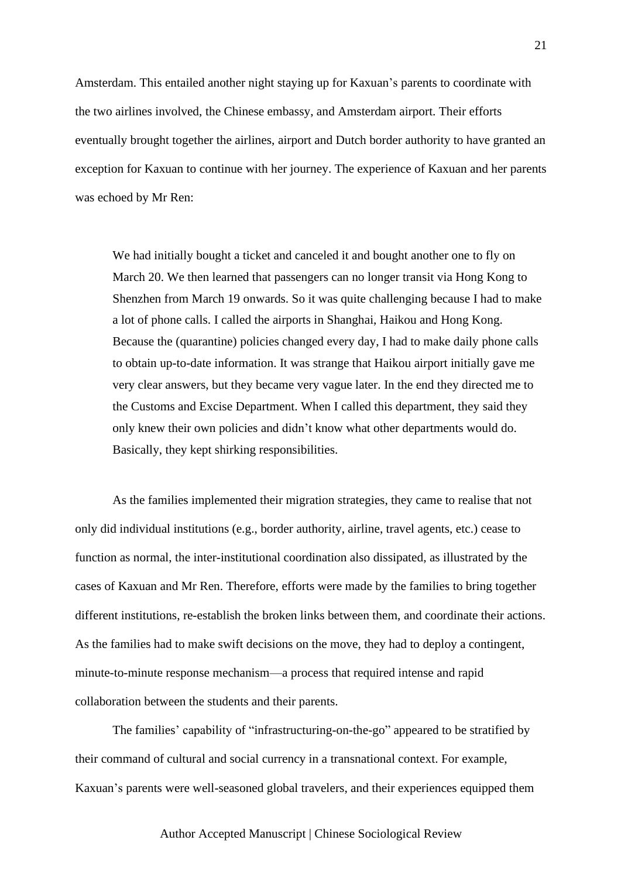Amsterdam. This entailed another night staying up for Kaxuan's parents to coordinate with the two airlines involved, the Chinese embassy, and Amsterdam airport. Their efforts eventually brought together the airlines, airport and Dutch border authority to have granted an exception for Kaxuan to continue with her journey. The experience of Kaxuan and her parents was echoed by Mr Ren:

We had initially bought a ticket and canceled it and bought another one to fly on March 20. We then learned that passengers can no longer transit via Hong Kong to Shenzhen from March 19 onwards. So it was quite challenging because I had to make a lot of phone calls. I called the airports in Shanghai, Haikou and Hong Kong. Because the (quarantine) policies changed every day, I had to make daily phone calls to obtain up-to-date information. It was strange that Haikou airport initially gave me very clear answers, but they became very vague later. In the end they directed me to the Customs and Excise Department. When I called this department, they said they only knew their own policies and didn't know what other departments would do. Basically, they kept shirking responsibilities.

As the families implemented their migration strategies, they came to realise that not only did individual institutions (e.g., border authority, airline, travel agents, etc.) cease to function as normal, the inter-institutional coordination also dissipated, as illustrated by the cases of Kaxuan and Mr Ren. Therefore, efforts were made by the families to bring together different institutions, re-establish the broken links between them, and coordinate their actions. As the families had to make swift decisions on the move, they had to deploy a contingent, minute-to-minute response mechanism—a process that required intense and rapid collaboration between the students and their parents.

The families' capability of "infrastructuring-on-the-go" appeared to be stratified by their command of cultural and social currency in a transnational context. For example, Kaxuan's parents were well-seasoned global travelers, and their experiences equipped them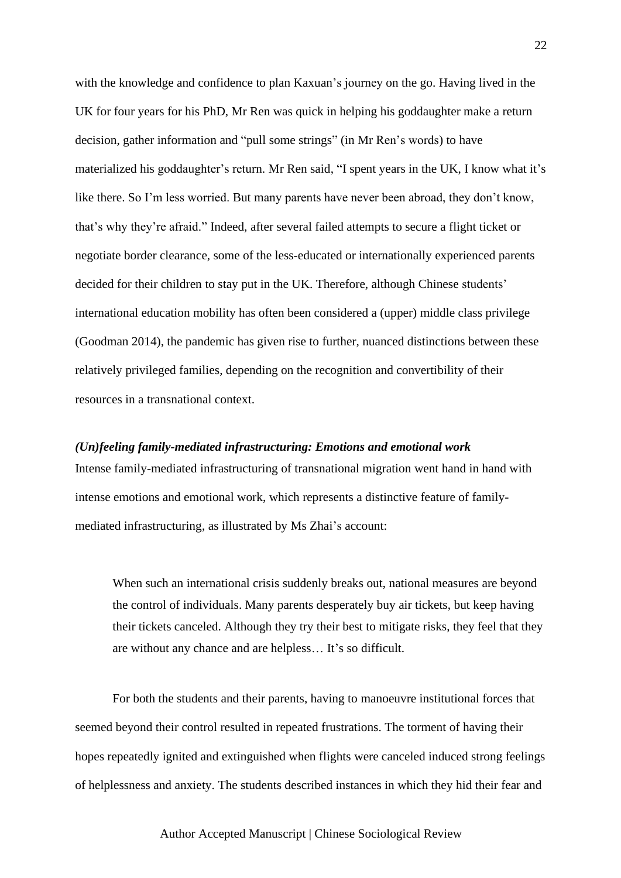with the knowledge and confidence to plan Kaxuan's journey on the go. Having lived in the UK for four years for his PhD, Mr Ren was quick in helping his goddaughter make a return decision, gather information and "pull some strings" (in Mr Ren's words) to have materialized his goddaughter's return. Mr Ren said, "I spent years in the UK, I know what it's like there. So I'm less worried. But many parents have never been abroad, they don't know, that's why they're afraid." Indeed, after several failed attempts to secure a flight ticket or negotiate border clearance, some of the less-educated or internationally experienced parents decided for their children to stay put in the UK. Therefore, although Chinese students' international education mobility has often been considered a (upper) middle class privilege (Goodman 2014), the pandemic has given rise to further, nuanced distinctions between these relatively privileged families, depending on the recognition and convertibility of their resources in a transnational context.

# *(Un)feeling family-mediated infrastructuring: Emotions and emotional work*  Intense family-mediated infrastructuring of transnational migration went hand in hand with intense emotions and emotional work, which represents a distinctive feature of familymediated infrastructuring, as illustrated by Ms Zhai's account:

When such an international crisis suddenly breaks out, national measures are beyond the control of individuals. Many parents desperately buy air tickets, but keep having their tickets canceled. Although they try their best to mitigate risks, they feel that they are without any chance and are helpless… It's so difficult.

For both the students and their parents, having to manoeuvre institutional forces that seemed beyond their control resulted in repeated frustrations. The torment of having their hopes repeatedly ignited and extinguished when flights were canceled induced strong feelings of helplessness and anxiety. The students described instances in which they hid their fear and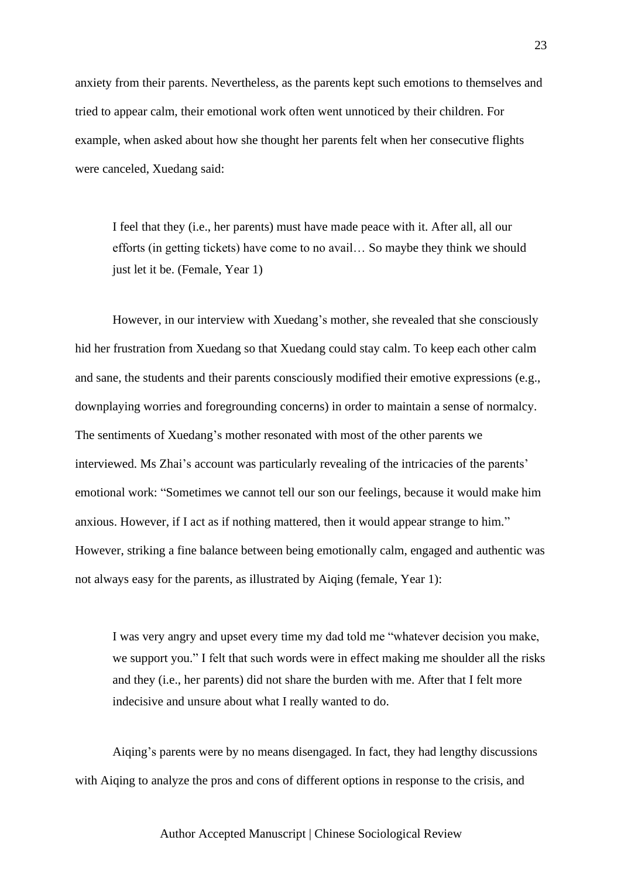anxiety from their parents. Nevertheless, as the parents kept such emotions to themselves and tried to appear calm, their emotional work often went unnoticed by their children. For example, when asked about how she thought her parents felt when her consecutive flights were canceled, Xuedang said:

I feel that they (i.e., her parents) must have made peace with it. After all, all our efforts (in getting tickets) have come to no avail… So maybe they think we should just let it be. (Female, Year 1)

However, in our interview with Xuedang's mother, she revealed that she consciously hid her frustration from Xuedang so that Xuedang could stay calm. To keep each other calm and sane, the students and their parents consciously modified their emotive expressions (e.g., downplaying worries and foregrounding concerns) in order to maintain a sense of normalcy. The sentiments of Xuedang's mother resonated with most of the other parents we interviewed. Ms Zhai's account was particularly revealing of the intricacies of the parents' emotional work: "Sometimes we cannot tell our son our feelings, because it would make him anxious. However, if I act as if nothing mattered, then it would appear strange to him." However, striking a fine balance between being emotionally calm, engaged and authentic was not always easy for the parents, as illustrated by Aiqing (female, Year 1):

I was very angry and upset every time my dad told me "whatever decision you make, we support you." I felt that such words were in effect making me shoulder all the risks and they (i.e., her parents) did not share the burden with me. After that I felt more indecisive and unsure about what I really wanted to do.

Aiqing's parents were by no means disengaged. In fact, they had lengthy discussions with Aiqing to analyze the pros and cons of different options in response to the crisis, and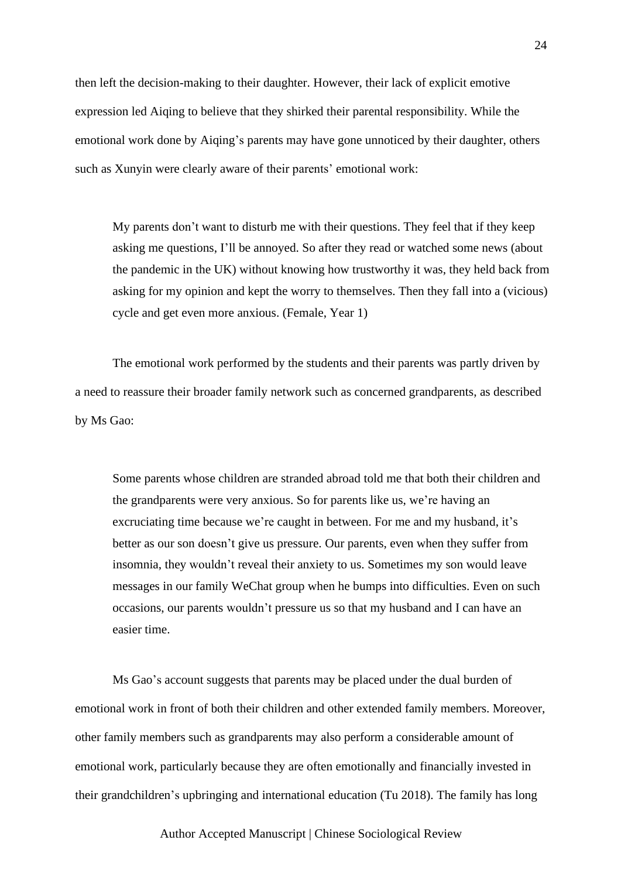then left the decision-making to their daughter. However, their lack of explicit emotive expression led Aiqing to believe that they shirked their parental responsibility. While the emotional work done by Aiqing's parents may have gone unnoticed by their daughter, others such as Xunyin were clearly aware of their parents' emotional work:

My parents don't want to disturb me with their questions. They feel that if they keep asking me questions, I'll be annoyed. So after they read or watched some news (about the pandemic in the UK) without knowing how trustworthy it was, they held back from asking for my opinion and kept the worry to themselves. Then they fall into a (vicious) cycle and get even more anxious. (Female, Year 1)

The emotional work performed by the students and their parents was partly driven by a need to reassure their broader family network such as concerned grandparents, as described by Ms Gao:

Some parents whose children are stranded abroad told me that both their children and the grandparents were very anxious. So for parents like us, we're having an excruciating time because we're caught in between. For me and my husband, it's better as our son doesn't give us pressure. Our parents, even when they suffer from insomnia, they wouldn't reveal their anxiety to us. Sometimes my son would leave messages in our family WeChat group when he bumps into difficulties. Even on such occasions, our parents wouldn't pressure us so that my husband and I can have an easier time.

Ms Gao's account suggests that parents may be placed under the dual burden of emotional work in front of both their children and other extended family members. Moreover, other family members such as grandparents may also perform a considerable amount of emotional work, particularly because they are often emotionally and financially invested in their grandchildren's upbringing and international education (Tu 2018). The family has long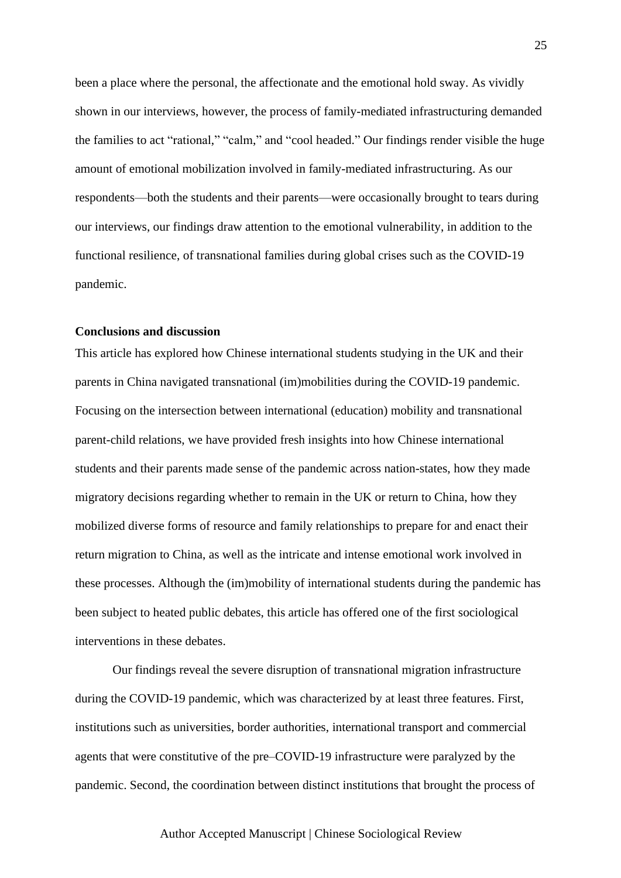been a place where the personal, the affectionate and the emotional hold sway. As vividly shown in our interviews, however, the process of family-mediated infrastructuring demanded the families to act "rational," "calm," and "cool headed." Our findings render visible the huge amount of emotional mobilization involved in family-mediated infrastructuring. As our respondents—both the students and their parents—were occasionally brought to tears during our interviews, our findings draw attention to the emotional vulnerability, in addition to the functional resilience, of transnational families during global crises such as the COVID-19 pandemic.

#### **Conclusions and discussion**

This article has explored how Chinese international students studying in the UK and their parents in China navigated transnational (im)mobilities during the COVID-19 pandemic. Focusing on the intersection between international (education) mobility and transnational parent-child relations, we have provided fresh insights into how Chinese international students and their parents made sense of the pandemic across nation-states, how they made migratory decisions regarding whether to remain in the UK or return to China, how they mobilized diverse forms of resource and family relationships to prepare for and enact their return migration to China, as well as the intricate and intense emotional work involved in these processes. Although the (im)mobility of international students during the pandemic has been subject to heated public debates, this article has offered one of the first sociological interventions in these debates.

Our findings reveal the severe disruption of transnational migration infrastructure during the COVID-19 pandemic, which was characterized by at least three features. First, institutions such as universities, border authorities, international transport and commercial agents that were constitutive of the pre–COVID-19 infrastructure were paralyzed by the pandemic. Second, the coordination between distinct institutions that brought the process of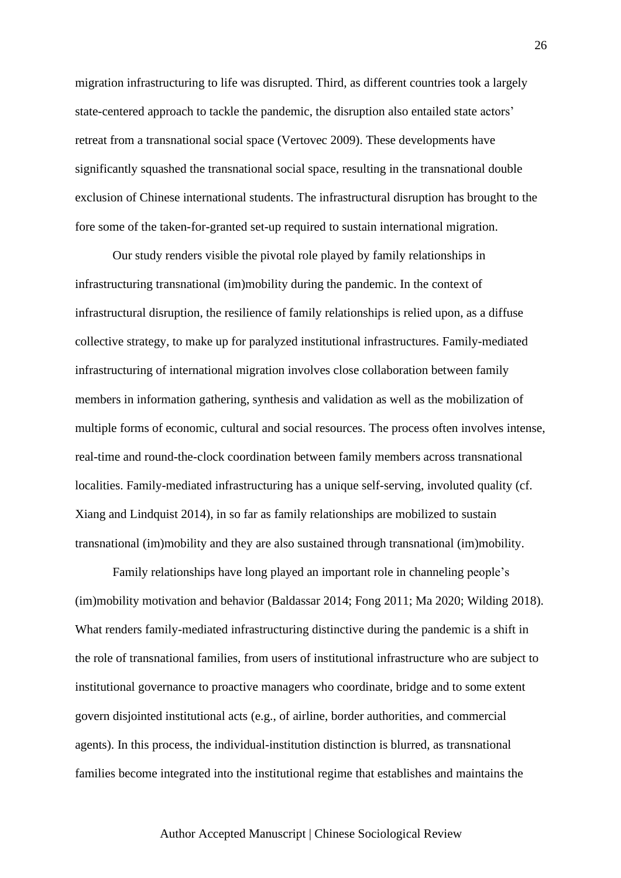migration infrastructuring to life was disrupted. Third, as different countries took a largely state-centered approach to tackle the pandemic, the disruption also entailed state actors' retreat from a transnational social space (Vertovec 2009). These developments have significantly squashed the transnational social space, resulting in the transnational double exclusion of Chinese international students. The infrastructural disruption has brought to the fore some of the taken-for-granted set-up required to sustain international migration.

Our study renders visible the pivotal role played by family relationships in infrastructuring transnational (im)mobility during the pandemic. In the context of infrastructural disruption, the resilience of family relationships is relied upon, as a diffuse collective strategy, to make up for paralyzed institutional infrastructures. Family-mediated infrastructuring of international migration involves close collaboration between family members in information gathering, synthesis and validation as well as the mobilization of multiple forms of economic, cultural and social resources. The process often involves intense, real-time and round-the-clock coordination between family members across transnational localities. Family-mediated infrastructuring has a unique self-serving, involuted quality (cf. Xiang and Lindquist 2014), in so far as family relationships are mobilized to sustain transnational (im)mobility and they are also sustained through transnational (im)mobility.

Family relationships have long played an important role in channeling people's (im)mobility motivation and behavior (Baldassar 2014; Fong 2011; Ma 2020; Wilding 2018). What renders family-mediated infrastructuring distinctive during the pandemic is a shift in the role of transnational families, from users of institutional infrastructure who are subject to institutional governance to proactive managers who coordinate, bridge and to some extent govern disjointed institutional acts (e.g., of airline, border authorities, and commercial agents). In this process, the individual-institution distinction is blurred, as transnational families become integrated into the institutional regime that establishes and maintains the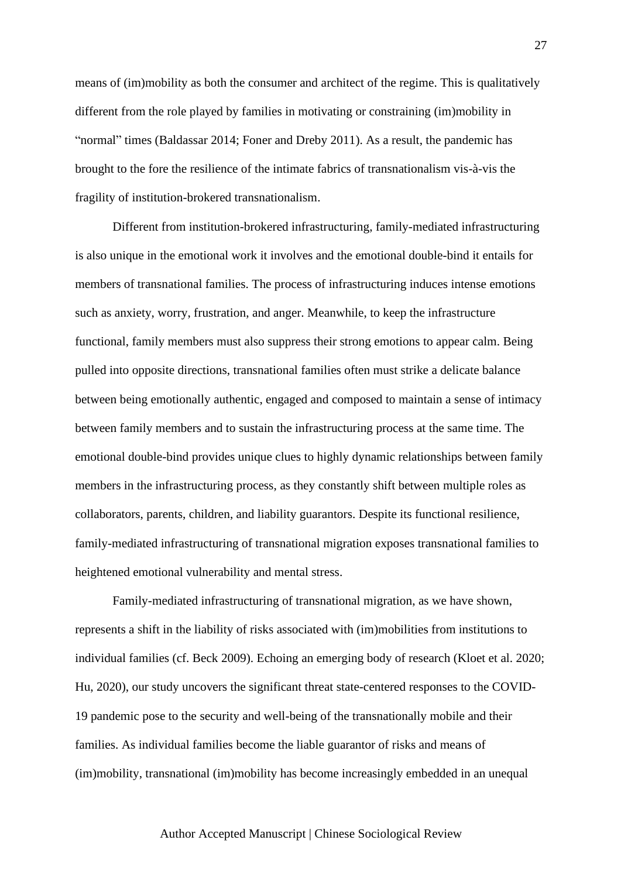means of (im)mobility as both the consumer and architect of the regime. This is qualitatively different from the role played by families in motivating or constraining (im)mobility in "normal" times (Baldassar 2014; Foner and Dreby 2011). As a result, the pandemic has brought to the fore the resilience of the intimate fabrics of transnationalism vis-à-vis the fragility of institution-brokered transnationalism.

Different from institution-brokered infrastructuring, family-mediated infrastructuring is also unique in the emotional work it involves and the emotional double-bind it entails for members of transnational families. The process of infrastructuring induces intense emotions such as anxiety, worry, frustration, and anger. Meanwhile, to keep the infrastructure functional, family members must also suppress their strong emotions to appear calm. Being pulled into opposite directions, transnational families often must strike a delicate balance between being emotionally authentic, engaged and composed to maintain a sense of intimacy between family members and to sustain the infrastructuring process at the same time. The emotional double-bind provides unique clues to highly dynamic relationships between family members in the infrastructuring process, as they constantly shift between multiple roles as collaborators, parents, children, and liability guarantors. Despite its functional resilience, family-mediated infrastructuring of transnational migration exposes transnational families to heightened emotional vulnerability and mental stress.

Family-mediated infrastructuring of transnational migration, as we have shown, represents a shift in the liability of risks associated with (im)mobilities from institutions to individual families (cf. Beck 2009). Echoing an emerging body of research (Kloet et al. 2020; Hu, 2020), our study uncovers the significant threat state-centered responses to the COVID-19 pandemic pose to the security and well-being of the transnationally mobile and their families. As individual families become the liable guarantor of risks and means of (im)mobility, transnational (im)mobility has become increasingly embedded in an unequal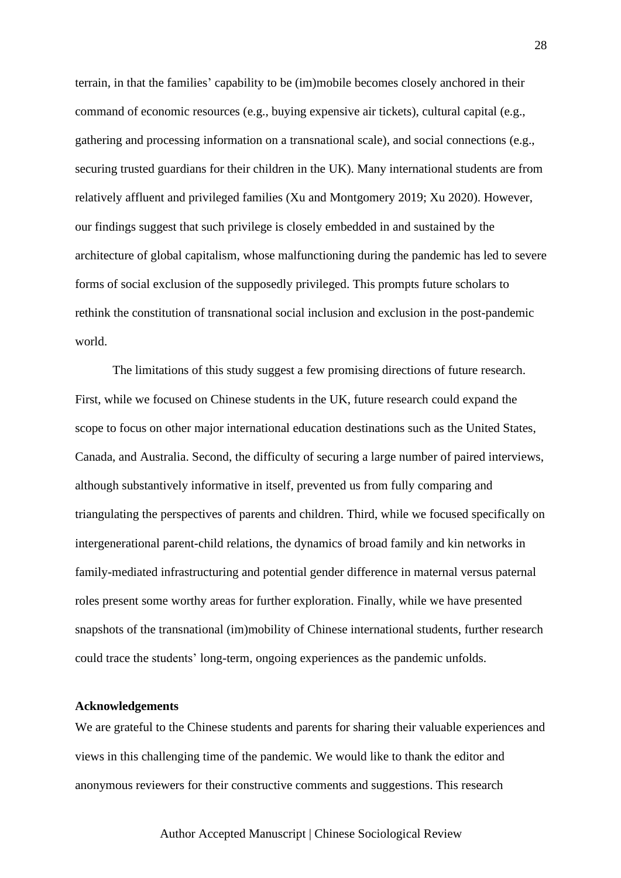terrain, in that the families' capability to be (im)mobile becomes closely anchored in their command of economic resources (e.g., buying expensive air tickets), cultural capital (e.g., gathering and processing information on a transnational scale), and social connections (e.g., securing trusted guardians for their children in the UK). Many international students are from relatively affluent and privileged families (Xu and Montgomery 2019; Xu 2020). However, our findings suggest that such privilege is closely embedded in and sustained by the architecture of global capitalism, whose malfunctioning during the pandemic has led to severe forms of social exclusion of the supposedly privileged. This prompts future scholars to rethink the constitution of transnational social inclusion and exclusion in the post-pandemic world.

The limitations of this study suggest a few promising directions of future research. First, while we focused on Chinese students in the UK, future research could expand the scope to focus on other major international education destinations such as the United States, Canada, and Australia. Second, the difficulty of securing a large number of paired interviews, although substantively informative in itself, prevented us from fully comparing and triangulating the perspectives of parents and children. Third, while we focused specifically on intergenerational parent-child relations, the dynamics of broad family and kin networks in family-mediated infrastructuring and potential gender difference in maternal versus paternal roles present some worthy areas for further exploration. Finally, while we have presented snapshots of the transnational (im)mobility of Chinese international students, further research could trace the students' long-term, ongoing experiences as the pandemic unfolds.

#### **Acknowledgements**

We are grateful to the Chinese students and parents for sharing their valuable experiences and views in this challenging time of the pandemic. We would like to thank the editor and anonymous reviewers for their constructive comments and suggestions. This research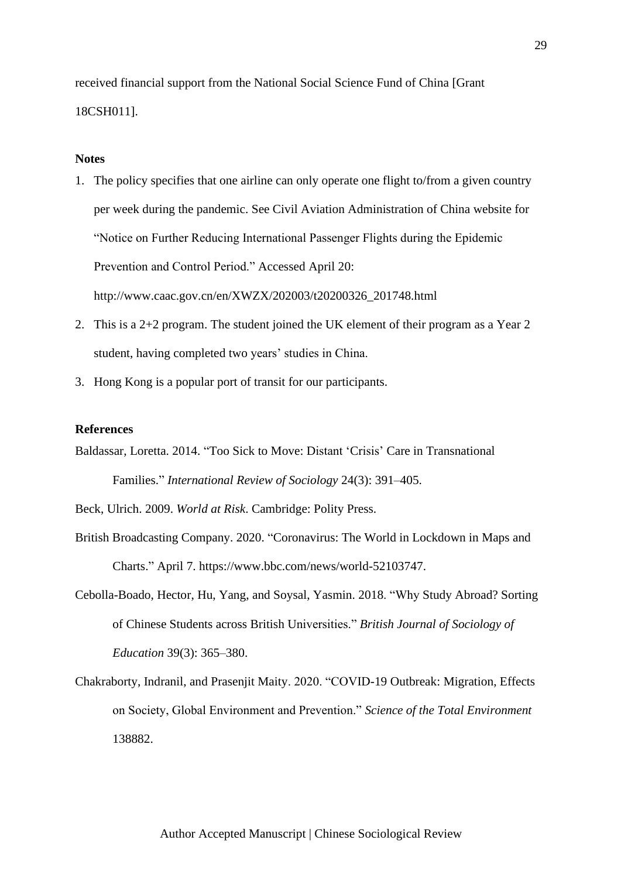received financial support from the National Social Science Fund of China [Grant 18CSH011].

#### **Notes**

- 1. The policy specifies that one airline can only operate one flight to/from a given country per week during the pandemic. See Civil Aviation Administration of China website for "Notice on Further Reducing International Passenger Flights during the Epidemic Prevention and Control Period." Accessed April 20: [http://www.caac.gov.cn/en/XWZX/202003/t20200326\\_201748.html](http://www.caac.gov.cn/en/XWZX/202003/t20200326_201748.html)
- 2. This is a 2+2 program. The student joined the UK element of their program as a Year 2 student, having completed two years' studies in China.
- 3. Hong Kong is a popular port of transit for our participants.

#### **References**

- Baldassar, Loretta. 2014. "Too Sick to Move: Distant 'Crisis' Care in Transnational Families." *International Review of Sociology* 24(3): 391–405.
- Beck, Ulrich. 2009. *World at Risk*. Cambridge: Polity Press.
- British Broadcasting Company. 2020. "Coronavirus: The World in Lockdown in Maps and Charts." April 7. [https://www.bbc.com/news/world-52103747.](https://www.bbc.com/news/world-52103747)
- Cebolla-Boado, Hector, Hu, Yang, and Soysal, Yasmin. 2018. "Why Study Abroad? Sorting of Chinese Students across British Universities." *British Journal of Sociology of Education* 39(3): 365–380.
- Chakraborty, Indranil, and Prasenjit Maity. 2020. "COVID-19 Outbreak: Migration, Effects on Society, Global Environment and Prevention." *Science of the Total Environment* 138882.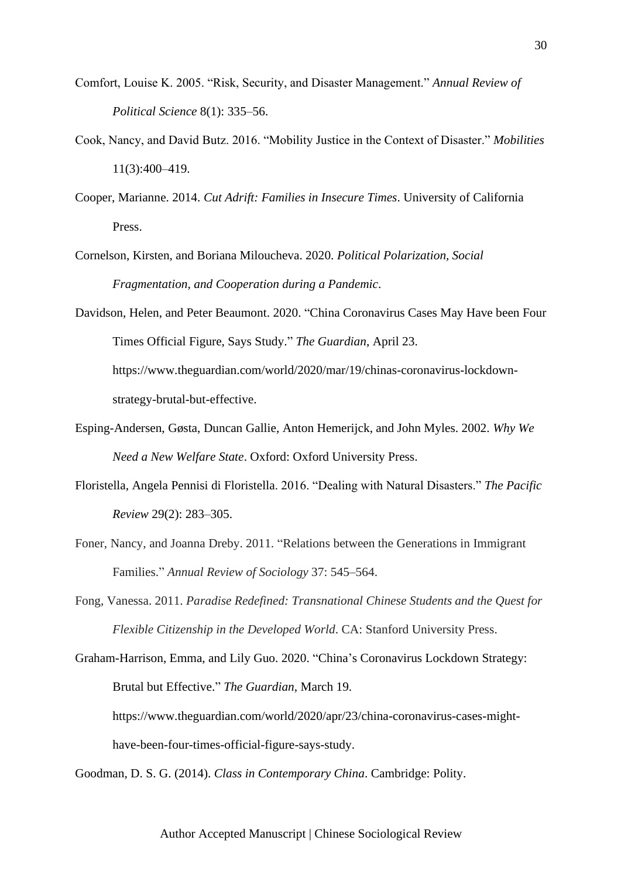- Comfort, Louise K. 2005. "Risk, Security, and Disaster Management." *Annual Review of Political Science* 8(1): 335–56.
- Cook, Nancy, and David Butz. 2016. "Mobility Justice in the Context of Disaster." *Mobilities* 11(3):400–419.
- Cooper, Marianne. 2014. *Cut Adrift: Families in Insecure Times*. University of California Press.
- Cornelson, Kirsten, and Boriana Miloucheva. 2020. *Political Polarization, Social Fragmentation, and Cooperation during a Pandemic*.
- Davidson, Helen, and Peter Beaumont. 2020. "China Coronavirus Cases May Have been Four Times Official Figure, Says Study." *The Guardian*, April 23. [https://www.theguardian.com/world/2020/mar/19/chinas-coronavirus-lockdown](https://www.theguardian.com/world/2020/mar/19/chinas-coronavirus-lockdown-strategy-brutal-but-effective)[strategy-brutal-but-effective.](https://www.theguardian.com/world/2020/mar/19/chinas-coronavirus-lockdown-strategy-brutal-but-effective)
- Esping-Andersen, Gøsta, Duncan Gallie, Anton Hemerijck, and John Myles. 2002. *Why We Need a New Welfare State*. Oxford: Oxford University Press.
- Floristella, Angela Pennisi di Floristella. 2016. "Dealing with Natural Disasters." *The Pacific Review* 29(2): 283–305.
- Foner, Nancy, and Joanna Dreby. 2011. "Relations between the Generations in Immigrant Families." *Annual Review of Sociology* 37: 545–564.
- Fong, Vanessa. 2011. *Paradise Redefined: Transnational Chinese Students and the Quest for Flexible Citizenship in the Developed World*. CA: Stanford University Press.

Graham-Harrison, Emma, and Lily Guo. 2020. "China's Coronavirus Lockdown Strategy: Brutal but Effective." *The Guardian*, March 19. [https://www.theguardian.com/world/2020/apr/23/china-coronavirus-cases-might](https://www.theguardian.com/world/2020/apr/23/china-coronavirus-cases-might-have-been-four-times-official-figure-says-study)[have-been-four-times-official-figure-says-study.](https://www.theguardian.com/world/2020/apr/23/china-coronavirus-cases-might-have-been-four-times-official-figure-says-study)

Goodman, D. S. G. (2014). *Class in Contemporary China*. Cambridge: Polity.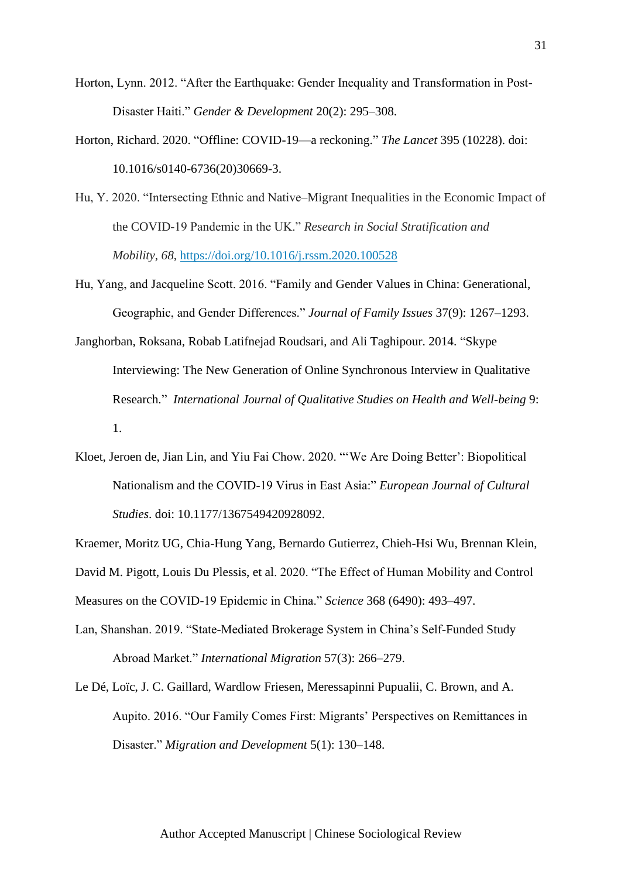Horton, Lynn. 2012. "After the Earthquake: Gender Inequality and Transformation in Post-Disaster Haiti." *Gender & Development* 20(2): 295–308.

- Horton, Richard. 2020. "Offline: COVID-19—a reckoning." *The Lancet* 395 (10228). doi: 10.1016/s0140-6736(20)30669-3.
- Hu, Y. 2020. "Intersecting Ethnic and Native–Migrant Inequalities in the Economic Impact of the COVID-19 Pandemic in the UK." *Research in Social Stratification and Mobility*, *68*,<https://doi.org/10.1016/j.rssm.2020.100528>
- Hu, Yang, and Jacqueline Scott. 2016. "Family and Gender Values in China: Generational, Geographic, and Gender Differences." *Journal of Family Issues* 37(9): 1267–1293.
- Janghorban, Roksana, Robab Latifnejad Roudsari, and Ali Taghipour. 2014. "Skype Interviewing: The New Generation of Online Synchronous Interview in Qualitative Research." *International Journal of Qualitative Studies on Health and Well-being* 9: 1.
- Kloet, Jeroen de, Jian Lin, and Yiu Fai Chow. 2020. "'We Are Doing Better': Biopolitical Nationalism and the COVID-19 Virus in East Asia:" *European Journal of Cultural Studies*. doi: 10.1177/1367549420928092.

Kraemer, Moritz UG, Chia-Hung Yang, Bernardo Gutierrez, Chieh-Hsi Wu, Brennan Klein,

David M. Pigott, Louis Du Plessis, et al. 2020. "The Effect of Human Mobility and Control

Measures on the COVID-19 Epidemic in China." *Science* 368 (6490): 493–497.

- Lan, Shanshan. 2019. "State-Mediated Brokerage System in China's Self-Funded Study Abroad Market." *International Migration* 57(3): 266–279.
- Le Dé, Loïc, J. C. Gaillard, Wardlow Friesen, Meressapinni Pupualii, C. Brown, and A. Aupito. 2016. "Our Family Comes First: Migrants' Perspectives on Remittances in Disaster." *Migration and Development* 5(1): 130–148.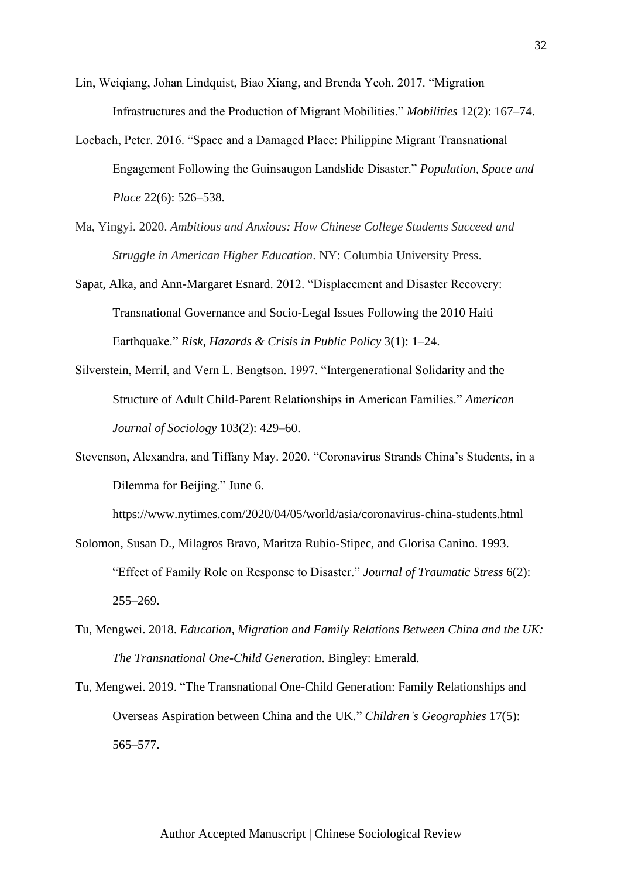- Lin, Weiqiang, Johan Lindquist, Biao Xiang, and Brenda Yeoh. 2017. "Migration Infrastructures and the Production of Migrant Mobilities." *Mobilities* 12(2): 167–74.
- Loebach, Peter. 2016. "Space and a Damaged Place: Philippine Migrant Transnational Engagement Following the Guinsaugon Landslide Disaster." *Population, Space and Place* 22(6): 526–538.
- Ma, Yingyi. 2020. *Ambitious and Anxious: How Chinese College Students Succeed and Struggle in American Higher Education*. NY: Columbia University Press.
- Sapat, Alka, and Ann-Margaret Esnard. 2012. "Displacement and Disaster Recovery: Transnational Governance and Socio-Legal Issues Following the 2010 Haiti Earthquake." *Risk, Hazards & Crisis in Public Policy* 3(1): 1–24.
- Silverstein, Merril, and Vern L. Bengtson. 1997. "Intergenerational Solidarity and the Structure of Adult Child-Parent Relationships in American Families." *American Journal of Sociology* 103(2): 429–60.
- Stevenson, Alexandra, and Tiffany May. 2020. "Coronavirus Strands China's Students, in a Dilemma for Beijing." June 6.

https://www.nytimes.com/2020/04/05/world/asia/coronavirus-china-students.html

- Solomon, Susan D., Milagros Bravo, Maritza Rubio-Stipec, and Glorisa Canino. 1993. "Effect of Family Role on Response to Disaster." *Journal of Traumatic Stress* 6(2): 255–269.
- Tu, Mengwei. 2018. *Education, Migration and Family Relations Between China and the UK: The Transnational One-Child Generation*. Bingley: Emerald.
- Tu, Mengwei. 2019. "The Transnational One-Child Generation: Family Relationships and Overseas Aspiration between China and the UK." *Children's Geographies* 17(5): 565–577.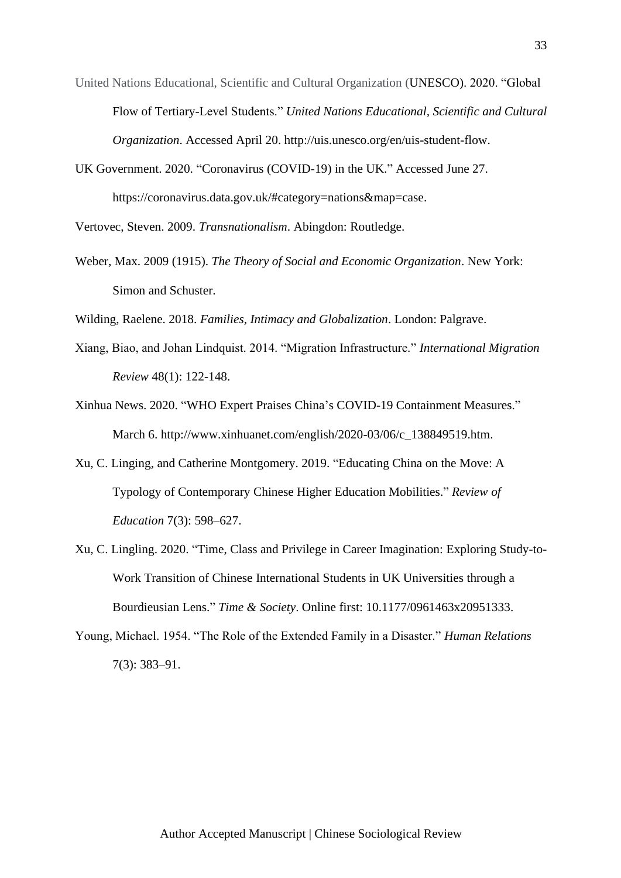- United Nations Educational, Scientific and Cultural Organization (UNESCO). 2020. "Global Flow of Tertiary-Level Students." *United Nations Educational, Scientific and Cultural Organization*. Accessed April 20. http://uis.unesco.org/en/uis-student-flow.
- UK Government. 2020. "Coronavirus (COVID-19) in the UK." Accessed June 27. [https://coronavirus.data.gov.uk/#category=nations&map=case.](https://coronavirus.data.gov.uk/#category=nations&map=case)

Vertovec, Steven. 2009. *Transnationalism*. Abingdon: Routledge.

Weber, Max. 2009 (1915). *The Theory of Social and Economic Organization*. New York: Simon and Schuster.

Wilding, Raelene. 2018. *Families, Intimacy and Globalization*. London: Palgrave.

- Xiang, Biao, and Johan Lindquist. 2014. "Migration Infrastructure." *International Migration Review* 48(1): 122-148.
- Xinhua News. 2020. "WHO Expert Praises China's COVID-19 Containment Measures." March 6. [http://www.xinhuanet.com/english/2020-03/06/c\\_138849519.htm.](http://www.xinhuanet.com/english/2020-03/06/c_138849519.htm)
- Xu, C. Linging, and Catherine Montgomery. 2019. "Educating China on the Move: A Typology of Contemporary Chinese Higher Education Mobilities." *Review of Education* 7(3): 598–627.
- Xu, C. Lingling. 2020. "Time, Class and Privilege in Career Imagination: Exploring Study-to-Work Transition of Chinese International Students in UK Universities through a Bourdieusian Lens." *Time & Society*. Online first: 10.1177/0961463x20951333.
- Young, Michael. 1954. "The Role of the Extended Family in a Disaster." *Human Relations* 7(3): 383–91.